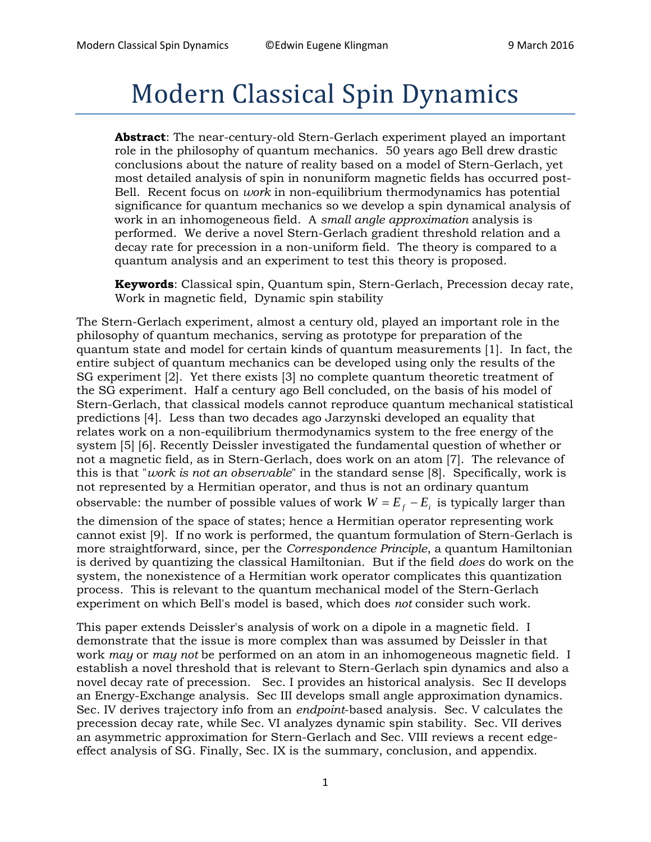# Modern Classical Spin Dynamics

**Abstract**: The near-century-old Stern-Gerlach experiment played an important role in the philosophy of quantum mechanics. 50 years ago Bell drew drastic conclusions about the nature of reality based on a model of Stern-Gerlach, yet most detailed analysis of spin in nonuniform magnetic fields has occurred post-Bell. Recent focus on *work* in non-equilibrium thermodynamics has potential significance for quantum mechanics so we develop a spin dynamical analysis of work in an inhomogeneous field. A *small angle approximation* analysis is performed. We derive a novel Stern-Gerlach gradient threshold relation and a decay rate for precession in a non-uniform field. The theory is compared to a quantum analysis and an experiment to test this theory is proposed.

**Keywords**: Classical spin, Quantum spin, Stern-Gerlach, Precession decay rate, Work in magnetic field, Dynamic spin stability

The Stern-Gerlach experiment, almost a century old, played an important role in the philosophy of quantum mechanics, serving as prototype for preparation of the quantum state and model for certain kinds of quantum measurements [1]. In fact, the entire subject of quantum mechanics can be developed using only the results of the SG experiment [2]. Yet there exists [3] no complete quantum theoretic treatment of the SG experiment. Half a century ago Bell concluded, on the basis of his model of Stern-Gerlach, that classical models cannot reproduce quantum mechanical statistical predictions [4]. Less than two decades ago Jarzynski developed an equality that relates work on a non-equilibrium thermodynamics system to the free energy of the system [5] [6]. Recently Deissler investigated the fundamental question of whether or not a magnetic field, as in Stern-Gerlach, does work on an atom [7]. The relevance of this is that "*work is not an observable*" in the standard sense [8]. Specifically, work is not represented by a Hermitian operator, and thus is not an ordinary quantum observable: the number of possible values of work  $W = E_f - E_i$  is typically larger than

the dimension of the space of states; hence a Hermitian operator representing work cannot exist [9]. If no work is performed, the quantum formulation of Stern-Gerlach is more straightforward, since, per the *Correspondence Principle*, a quantum Hamiltonian is derived by quantizing the classical Hamiltonian. But if the field *does* do work on the system, the nonexistence of a Hermitian work operator complicates this quantization process. This is relevant to the quantum mechanical model of the Stern-Gerlach experiment on which Bell's model is based, which does *not* consider such work.

This paper extends Deissler's analysis of work on a dipole in a magnetic field. I demonstrate that the issue is more complex than was assumed by Deissler in that work *may* or *may not* be performed on an atom in an inhomogeneous magnetic field. I establish a novel threshold that is relevant to Stern-Gerlach spin dynamics and also a novel decay rate of precession. Sec. I provides an historical analysis. Sec II develops an Energy-Exchange analysis. Sec III develops small angle approximation dynamics. Sec. IV derives trajectory info from an *endpoint*-based analysis. Sec. V calculates the precession decay rate, while Sec. VI analyzes dynamic spin stability. Sec. VII derives an asymmetric approximation for Stern-Gerlach and Sec. VIII reviews a recent edgeeffect analysis of SG. Finally, Sec. IX is the summary, conclusion, and appendix.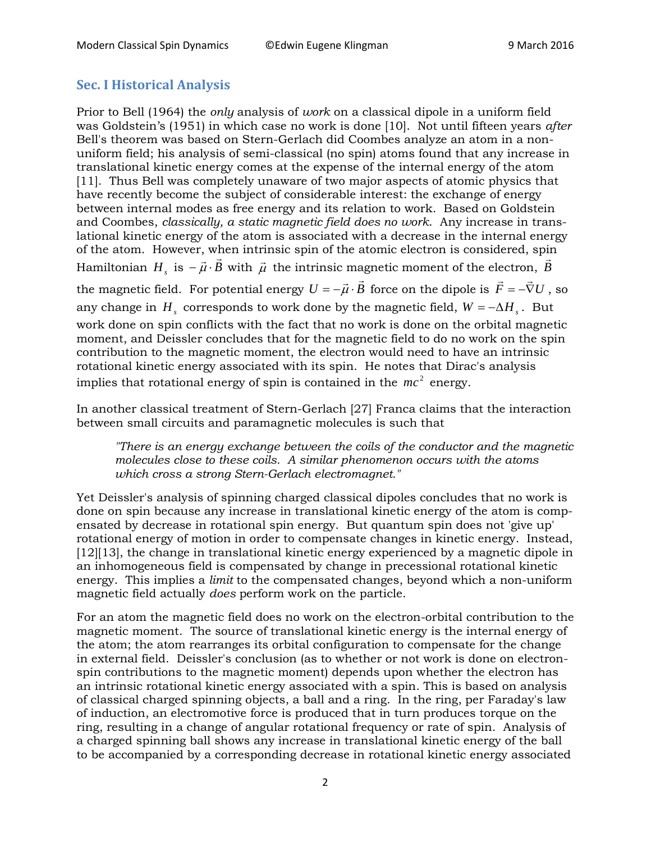## **Sec. I Historical Analysis**

Prior to Bell (1964) the *only* analysis of *work* on a classical dipole in a uniform field was Goldstein's (1951) in which case no work is done [10]. Not until fifteen years *after* Bell's theorem was based on Stern-Gerlach did Coombes analyze an atom in a nonuniform field; his analysis of semi-classical (no spin) atoms found that any increase in translational kinetic energy comes at the expense of the internal energy of the atom [11]. Thus Bell was completely unaware of two major aspects of atomic physics that have recently become the subject of considerable interest: the exchange of energy between internal modes as free energy and its relation to work. Based on Goldstein and Coombes, *classically, a static magnetic field does no work*. Any increase in translational kinetic energy of the atom is associated with a decrease in the internal energy of the atom. However, when intrinsic spin of the atomic electron is considered, spin of the atom. However, when intrinsic spin of the atomic electron is considered, spin<br>Hamiltonian  $H_s$  is  $-\vec{\mu} \cdot \vec{B}$  with  $\vec{\mu}$  the intrinsic magnetic moment of the electron,  $\vec{B}$ the magnetic field. For potential energy  $U = -\vec{\mu} \cdot \vec{B}$  force on the dipole is  $\vec{F} = -\vec{\nabla}U$ , so any change in  $H_s$  corresponds to work done by the magnetic field,  $W = -\Delta H_s$ . But work done on spin conflicts with the fact that no work is done on the orbital magnetic moment, and Deissler concludes that for the magnetic field to do no work on the spin contribution to the magnetic moment, the electron would need to have an intrinsic rotational kinetic energy associated with its spin. He notes that Dirac's analysis implies that rotational energy of spin is contained in the  $mc^2$  energy.

In another classical treatment of Stern-Gerlach [27] Franca claims that the interaction between small circuits and paramagnetic molecules is such that

*"There is an energy exchange between the coils of the conductor and the magnetic molecules close to these coils. A similar phenomenon occurs with the atoms which cross a strong Stern-Gerlach electromagnet."*

Yet Deissler's analysis of spinning charged classical dipoles concludes that no work is done on spin because any increase in translational kinetic energy of the atom is compensated by decrease in rotational spin energy. But quantum spin does not 'give up' rotational energy of motion in order to compensate changes in kinetic energy. Instead, [12][13], the change in translational kinetic energy experienced by a magnetic dipole in an inhomogeneous field is compensated by change in precessional rotational kinetic energy. This implies a *limit* to the compensated changes, beyond which a non-uniform magnetic field actually *does* perform work on the particle.

For an atom the magnetic field does no work on the electron-orbital contribution to the magnetic moment. The source of translational kinetic energy is the internal energy of the atom; the atom rearranges its orbital configuration to compensate for the change in external field. Deissler's conclusion (as to whether or not work is done on electronspin contributions to the magnetic moment) depends upon whether the electron has an intrinsic rotational kinetic energy associated with a spin. This is based on analysis of classical charged spinning objects, a ball and a ring. In the ring, per Faraday's law of induction, an electromotive force is produced that in turn produces torque on the ring, resulting in a change of angular rotational frequency or rate of spin. Analysis of a charged spinning ball shows any increase in translational kinetic energy of the ball to be accompanied by a corresponding decrease in rotational kinetic energy associated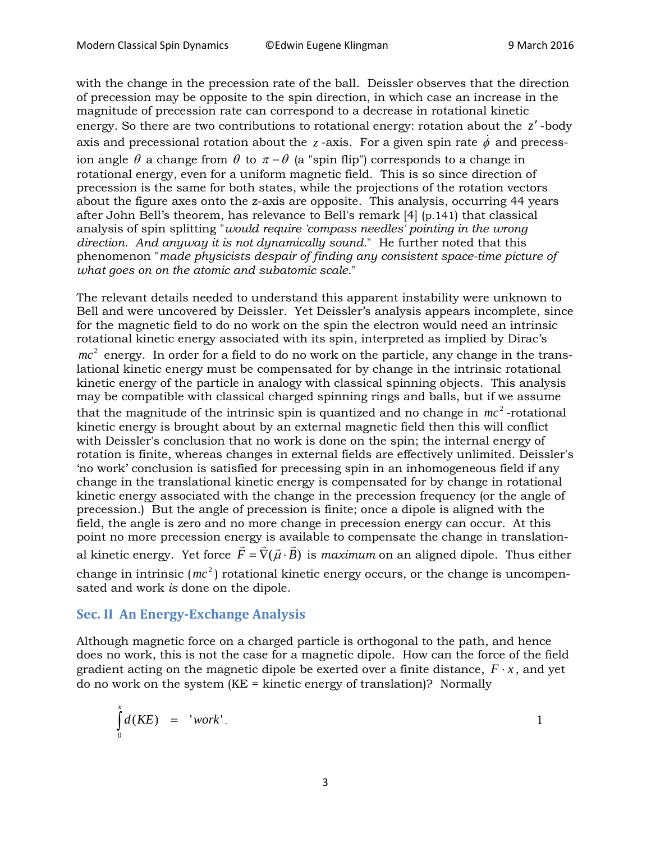with the change in the precession rate of the ball. Deissler observes that the direction of precession may be opposite to the spin direction, in which case an increase in the magnitude of precession rate can correspond to a decrease in rotational kinetic energy. So there are two contributions to rotational energy: rotation about the *z*′ -body axis and precessional rotation about the  $z$  -axis. For a given spin rate  $\dot{\phi}$  and precession angle  $\theta$  a change from  $\theta$  to  $\pi - \theta$  (a "spin flip") corresponds to a change in rotational energy, even for a uniform magnetic field. This is so since direction of precession is the same for both states, while the projections of the rotation vectors about the figure axes onto the z-axis are opposite. This analysis, occurring 44 years after John Bell's theorem, has relevance to Bell's remark [4] (p.141) that classical analysis of spin splitting "*would require 'compass needles' pointing in the wrong direction. And anyway it is not dynamically sound.*" He further noted that this phenomenon "*made physicists despair of finding any consistent space-time picture of what goes on on the atomic and subatomic scale*."

The relevant details needed to understand this apparent instability were unknown to Bell and were uncovered by Deissler. Yet Deissler's analysis appears incomplete, since for the magnetic field to do no work on the spin the electron would need an intrinsic rotational kinetic energy associated with its spin, interpreted as implied by Dirac's  $mc^{2}$  energy. In order for a field to do no work on the particle, any change in the translational kinetic energy must be compensated for by change in the intrinsic rotational kinetic energy of the particle in analogy with classical spinning objects. This analysis may be compatible with classical charged spinning rings and balls, but if we assume that the magnitude of the intrinsic spin is quantized and no change in  $mc^2$ -rotational kinetic energy is brought about by an external magnetic field then this will conflict with Deissler's conclusion that no work is done on the spin; the internal energy of rotation is finite, whereas changes in external fields are effectively unlimited. Deissler's 'no work' conclusion is satisfied for precessing spin in an inhomogeneous field if any change in the translational kinetic energy is compensated for by change in rotational kinetic energy associated with the change in the precession frequency (or the angle of precession.) But the angle of precession is finite; once a dipole is aligned with the field, the angle is zero and no more change in precession energy can occur. At this point no more precession energy is available to compensate the change in translationpoint no more precession energy is available to compensate the change in translation-<br>al kinetic energy. Yet force  $\vec{F} = \vec{\nabla}(\vec{\mu} \cdot \vec{B})$  is *maximum* on an aligned dipole. Thus either change in intrinsic ( $mc^2$ ) rotational kinetic energy occurs, or the change is uncompensated and work *is* done on the dipole.

#### **Sec. II An Energy-Exchange Analysis**

Although magnetic force on a charged particle is orthogonal to the path, and hence does no work, this is not the case for a magnetic dipole. How can the force of the field gradient acting on the magnetic dipole be exerted over a finite distance,  $F \cdot x$ , and yet do no work on the system  $(KE = kinetic$  energy of translation)? Normally

$$
\int_{0}^{x} d(KE) = 'work'.
$$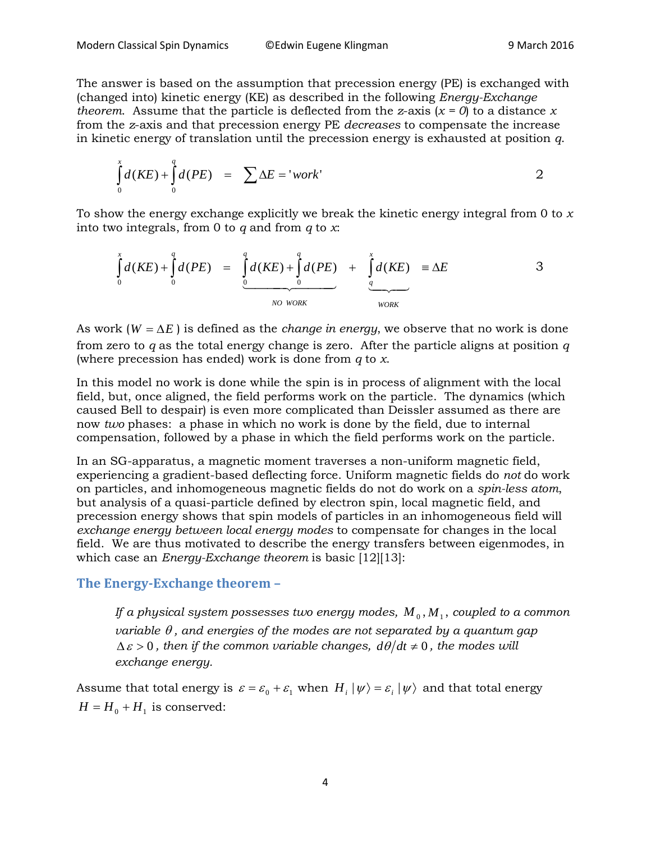The answer is based on the assumption that precession energy (PE) is exchanged with (changed into) kinetic energy (KE) as described in the following *Energy-Exchange theorem.* Assume that the particle is deflected from the *z*-axis ( $x = 0$ ) to a distance *x* from the *z*-axis and that precession energy PE *decreases* to compensate the increase in kinetic energy of translation until the precession energy is exhausted at position *q*.

$$
\int_{0}^{x} d(KE) + \int_{0}^{q} d(PE) = \sum \Delta E = 'work'
$$

To show the energy exchange explicitly we break the kinetic energy integral from 0 to *x* into two integrals, from 0 to *q* and from *q* to *x*:

$$
\int_{0}^{x} d(KE) + \int_{0}^{q} d(PE) = \underbrace{\int_{0}^{q} d(KE) + \int_{0}^{q} d(PE)}_{NO\ WORK} + \underbrace{\int_{q}^{x} d(KE)}_{WORK} \equiv \Delta E
$$
 3

As work  $(W = \Delta E)$  is defined as the *change in energy*, we observe that no work is done from zero to *q* as the total energy change is zero. After the particle aligns at position *q* (where precession has ended) work is done from *q* to *x*.

In this model no work is done while the spin is in process of alignment with the local field, but, once aligned, the field performs work on the particle. The dynamics (which caused Bell to despair) is even more complicated than Deissler assumed as there are now *two* phases: a phase in which no work is done by the field, due to internal compensation, followed by a phase in which the field performs work on the particle.

In an SG-apparatus, a magnetic moment traverses a non-uniform magnetic field, experiencing a gradient-based deflecting force. Uniform magnetic fields do *not* do work on particles, and inhomogeneous magnetic fields do not do work on a *spin-less atom*, but analysis of a quasi-particle defined by electron spin, local magnetic field, and precession energy shows that spin models of particles in an inhomogeneous field will *exchange energy between local energy modes* to compensate for changes in the local field. We are thus motivated to describe the energy transfers between eigenmodes, in which case an *Energy-Exchange theorem* is basic [12][13]:

## **The Energy-Exchange theorem –**

*If a physical system possesses two energy modes,*  $M_0$ ,  $M_1$ , *coupled to a common variable* θ *, and energies of the modes are not separated by a quantum gap*   $\Delta \varepsilon > 0$ , then if the common variable changes,  $d\theta/dt \neq 0$ , the modes will *exchange energy.*

Assume that total energy is  $\varepsilon = \varepsilon_0 + \varepsilon_1$  when  $H_i | \psi \rangle = \varepsilon_i | \psi \rangle$  and that total energy  $H = H_0 + H_1$  is conserved: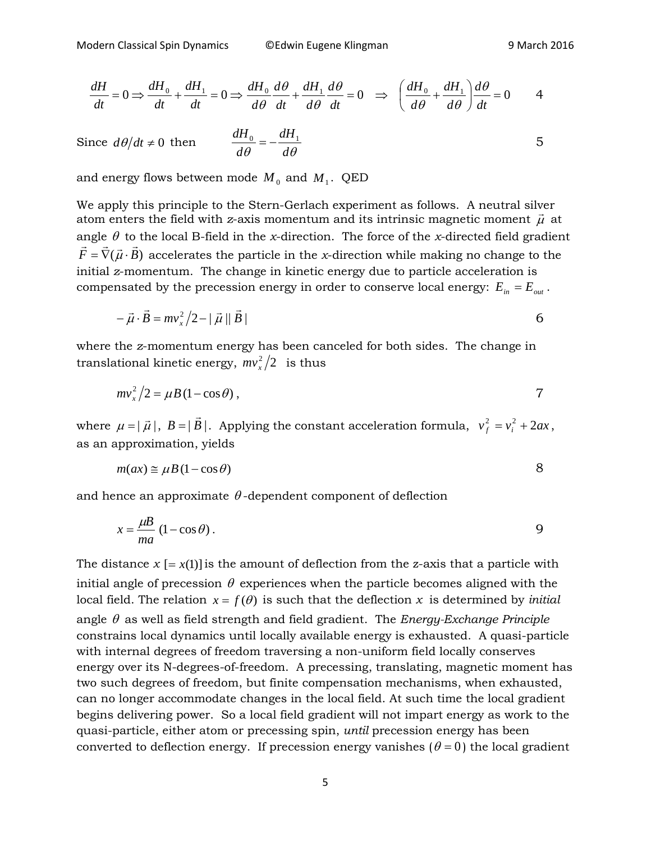$$
\frac{dH}{dt} = 0 \Rightarrow \frac{dH_0}{dt} + \frac{dH_1}{dt} = 0 \Rightarrow \frac{dH_0}{d\theta} \frac{d\theta}{dt} + \frac{dH_1}{d\theta} \frac{d\theta}{dt} = 0 \Rightarrow \left(\frac{dH_0}{d\theta} + \frac{dH_1}{d\theta}\right) \frac{d\theta}{dt} = 0 \qquad 4
$$

Since 
$$
d\theta/dt \neq 0
$$
 then 
$$
\frac{dH_0}{d\theta} = -\frac{dH_1}{d\theta}
$$

and energy flows between mode  $M_0$  and  $M_1$ . QED

We apply this principle to the Stern-Gerlach experiment as follows. A neutral silver we apply this principle to the stern-deriator experiment as follows. A heutral siver<br>atom enters the field with *z*-axis momentum and its intrinsic magnetic moment  $\vec{\mu}$  at angle  $\theta$  to the local B-field in the *x*-direction. The force of the *x*-directed field gradient  $\vec{F} = \vec{\nabla}(\vec{\mu} \cdot \vec{B})$  accelerates the particle in the *x*-direction while making no change to the initial *z*-momentum. The change in kinetic energy due to particle acceleration is compensated by the precession energy in order to conserve local energy:  $E_{in} = E_{out}$ .

$$
-\vec{\mu} \cdot \vec{B} = m v_x^2 / 2 - |\vec{\mu}| |\vec{B}|
$$

where the *z*-momentum energy has been canceled for both sides. The change in translational kinetic energy,  $\left. m v_{_X}^2 \middle/ 2 \right.$  is thus

$$
mv_x^2/2 = \mu B (1 - \cos \theta) , \qquad \qquad 7
$$

where  $\mu = |\vec{\mu}|$ ,  $B = |\vec{B}|$ . Applying the constant acceleration formula,  $v_f^2 = v_i^2 + 2ax$ , as an approximation, yields

$$
m(ax) \approx \mu B (1 - \cos \theta) \tag{8}
$$

and hence an approximate  $\theta$ -dependent component of deflection

$$
x = \frac{\mu}{ma} \left( 1 - \cos \theta \right).
$$

The distance  $x = x(1)$  is the amount of deflection from the z-axis that a particle with initial angle of precession  $\theta$  experiences when the particle becomes aligned with the local field. The relation  $x = f(\theta)$  is such that the deflection x is determined by *initial* angle θ as well as field strength and field gradient. The *Energy-Exchange Principle* constrains local dynamics until locally available energy is exhausted. A quasi-particle with internal degrees of freedom traversing a non-uniform field locally conserves energy over its N-degrees-of-freedom. A precessing, translating, magnetic moment has two such degrees of freedom, but finite compensation mechanisms, when exhausted, can no longer accommodate changes in the local field. At such time the local gradient begins delivering power. So a local field gradient will not impart energy as work to the quasi-particle, either atom or precessing spin, *until* precession energy has been converted to deflection energy. If precession energy vanishes  $(\theta = 0)$  the local gradient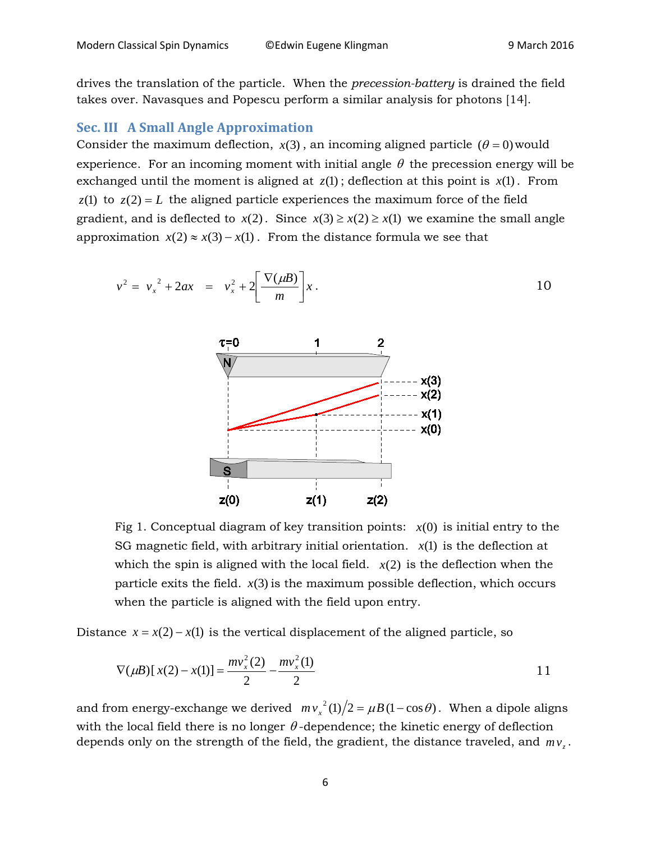drives the translation of the particle. When the *precession-battery* is drained the field takes over. Navasques and Popescu perform a similar analysis for photons [14].

#### **Sec. III A Small Angle Approximation**

Consider the maximum deflection,  $x(3)$ , an incoming aligned particle  $(\theta = 0)$  would experience. For an incoming moment with initial angle  $\theta$  the precession energy will be exchanged until the moment is aligned at  $z(1)$ ; deflection at this point is  $x(1)$ . From  $z(1)$  to  $z(2) = L$  the aligned particle experiences the maximum force of the field gradient, and is deflected to  $x(2)$ . Since  $x(3) \ge x(2) \ge x(1)$  we examine the small angle approximation  $x(2) \approx x(3) - x(1)$ . From the distance formula we see that





Fig 1. Conceptual diagram of key transition points:  $x(0)$  is initial entry to the SG magnetic field, with arbitrary initial orientation.  $x(1)$  is the deflection at which the spin is aligned with the local field.  $x(2)$  is the deflection when the particle exits the field.  $x(3)$  is the maximum possible deflection, which occurs when the particle is aligned with the field upon entry.

Distance  $x = x(2) - x(1)$  is the vertical displacement of the aligned particle, so

$$
\nabla(\mu B)[x(2) - x(1)] = \frac{mv_x^2(2)}{2} - \frac{mv_x^2(1)}{2}
$$
 11

and from energy-exchange we derived  $mv_x^2(1)/2 = \mu B(1 - \cos \theta)$ . When a dipole aligns with the local field there is no longer  $\theta$ -dependence; the kinetic energy of deflection depends only on the strength of the field, the gradient, the distance traveled, and  $mv<sub>r</sub>$ .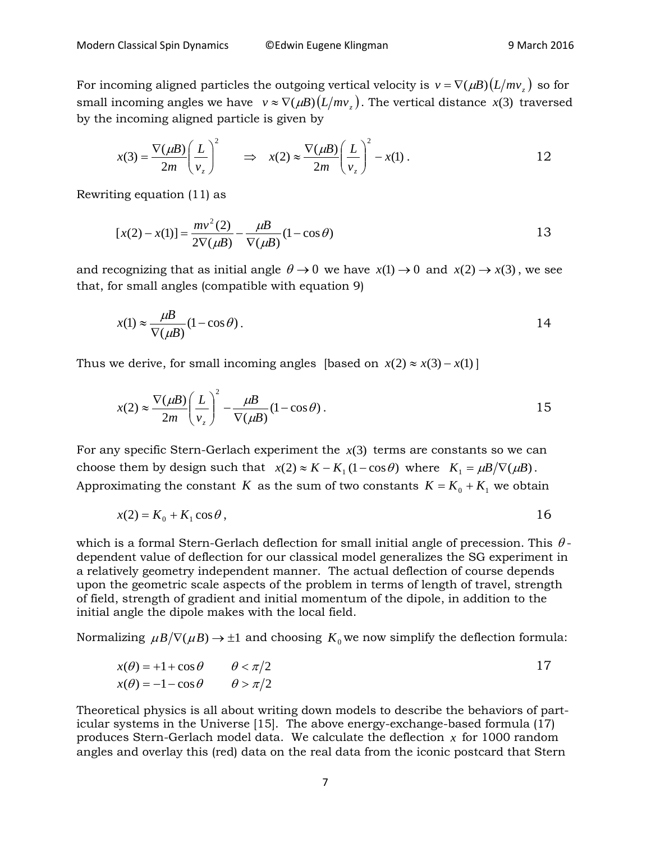For incoming aligned particles the outgoing vertical velocity is  $v = \nabla(\mu B)(L/mv)$  so for small incoming angles we have  $v \approx \nabla(\mu B) (L/mv)$ . The vertical distance *x*(3) traversed by the incoming aligned particle is given by

$$
x(3) = \frac{\nabla(\mu B)}{2m} \left(\frac{L}{v_z}\right)^2 \qquad \Rightarrow \quad x(2) \approx \frac{\nabla(\mu B)}{2m} \left(\frac{L}{v_z}\right)^2 - x(1) \ . \tag{12}
$$

Rewriting equation (11) as

$$
[x(2) - x(1)] = \frac{mv^{2}(2)}{2\nabla(\mu B)} - \frac{\mu}{\nabla(\mu B)}(1 - \cos\theta)
$$
 13

and recognizing that as initial angle  $\theta \to 0$  we have  $x(1) \to 0$  and  $x(2) \to x(3)$ , we see that, for small angles (compatible with equation 9)

$$
x(1) \approx \frac{\mu}{\nabla(\mu B)} (1 - \cos \theta). \tag{14}
$$

Thus we derive, for small incoming angles [based on  $x(2) \approx x(3) - x(1)$ ]

$$
x(2) \approx \frac{\nabla(\mu B)}{2m} \left(\frac{L}{v_z}\right)^2 - \frac{\mu B}{\nabla(\mu B)} (1 - \cos \theta). \tag{15}
$$

For any specific Stern-Gerlach experiment the  $x(3)$  terms are constants so we can choose them by design such that  $x(2) \approx K - K_1 (1 - \cos \theta)$  where  $K_1 = \mu B / \nabla(\mu B)$ . Approximating the constant *K* as the sum of two constants  $K = K_0 + K_1$  we obtain

$$
x(2) = K_0 + K_1 \cos \theta, \qquad 16
$$

which is a formal Stern-Gerlach deflection for small initial angle of precession. This  $\theta$ dependent value of deflection for our classical model generalizes the SG experiment in a relatively geometry independent manner. The actual deflection of course depends upon the geometric scale aspects of the problem in terms of length of travel, strength of field, strength of gradient and initial momentum of the dipole, in addition to the initial angle the dipole makes with the local field.

Normalizing  $\mu B/\nabla(\mu B) \rightarrow \pm 1$  and choosing  $K_0$  we now simplify the deflection formula:

$$
x(\theta) = +1 + \cos \theta \qquad \theta < \pi/2
$$
  
\n
$$
x(\theta) = -1 - \cos \theta \qquad \theta > \pi/2
$$

Theoretical physics is all about writing down models to describe the behaviors of particular systems in the Universe [15]. The above energy-exchange-based formula (17) produces Stern-Gerlach model data. We calculate the deflection *x* for 1000 random angles and overlay this (red) data on the real data from the iconic postcard that Stern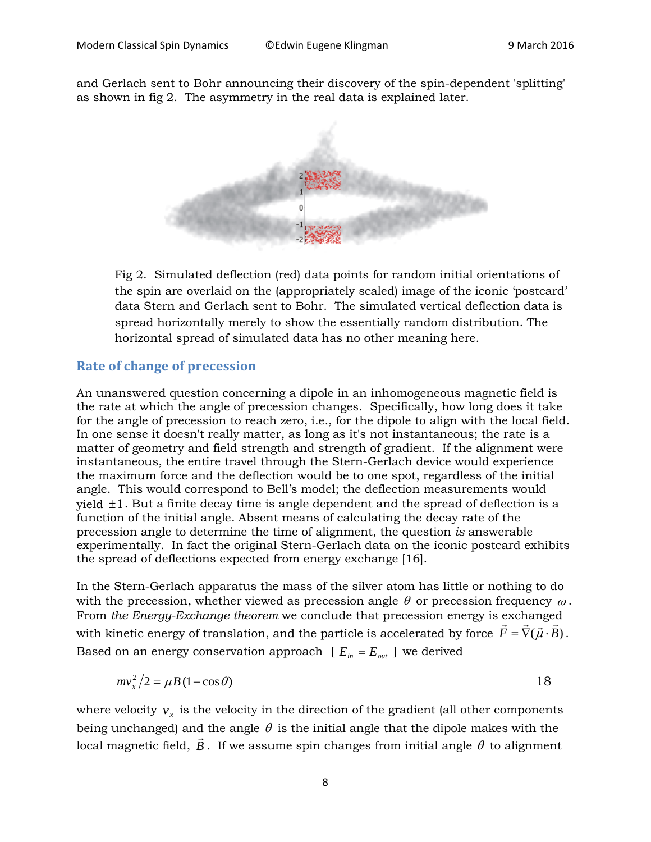and Gerlach sent to Bohr announcing their discovery of the spin-dependent 'splitting' as shown in fig 2. The asymmetry in the real data is explained later.



Fig 2. Simulated deflection (red) data points for random initial orientations of the spin are overlaid on the (appropriately scaled) image of the iconic 'postcard' data Stern and Gerlach sent to Bohr. The simulated vertical deflection data is spread horizontally merely to show the essentially random distribution. The horizontal spread of simulated data has no other meaning here.

#### **Rate of change of precession**

An unanswered question concerning a dipole in an inhomogeneous magnetic field is the rate at which the angle of precession changes. Specifically, how long does it take for the angle of precession to reach zero, i.e., for the dipole to align with the local field. In one sense it doesn't really matter, as long as it's not instantaneous; the rate is a matter of geometry and field strength and strength of gradient. If the alignment were instantaneous, the entire travel through the Stern-Gerlach device would experience the maximum force and the deflection would be to one spot, regardless of the initial angle. This would correspond to Bell's model; the deflection measurements would yield  $\pm 1$ . But a finite decay time is angle dependent and the spread of deflection is a function of the initial angle. Absent means of calculating the decay rate of the precession angle to determine the time of alignment, the question *is* answerable experimentally. In fact the original Stern-Gerlach data on the iconic postcard exhibits the spread of deflections expected from energy exchange [16].

In the Stern-Gerlach apparatus the mass of the silver atom has little or nothing to do with the precession, whether viewed as precession angle  $\theta$  or precession frequency  $\omega$ . From *the Energy-Exchange theorem* we conclude that precession energy is exchanged From the Energy-Exenting theorem we conclude that precession energy is exentinged<br>with kinetic energy of translation, and the particle is accelerated by force  $\vec{F} = \vec{\nabla}(\vec{\mu} \cdot \vec{B})$ . Based on an energy conservation approach  $[E_{in} = E_{out}]$  we derived

$$
mv_x^2/2 = \mu B (1 - \cos \theta) \tag{18}
$$

where velocity  $v_x$  is the velocity in the direction of the gradient (all other components being unchanged) and the angle  $\theta$  is the initial angle that the dipole makes with the local magnetic field,  $B$  . If we assume spin changes from initial angle  $\theta$  to alignment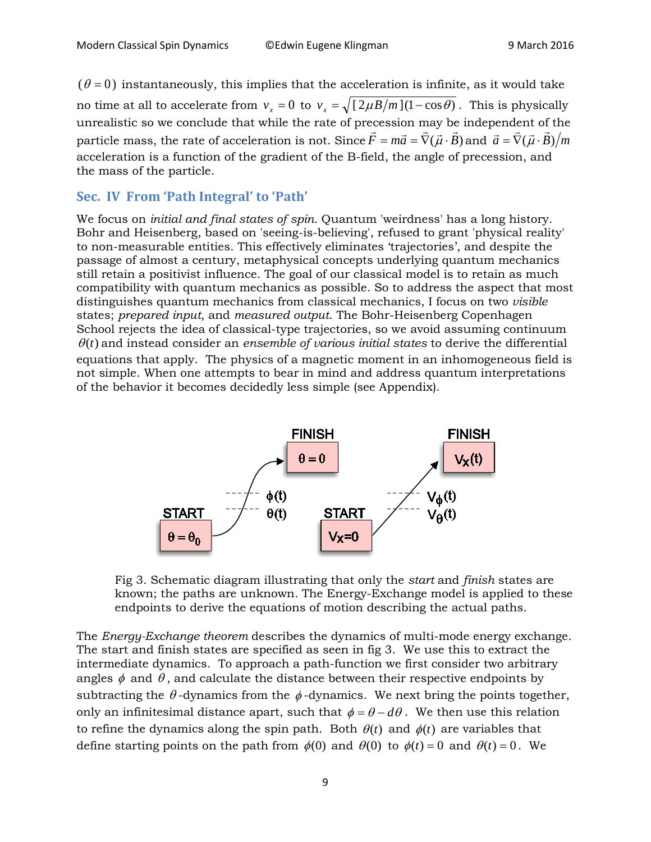$(\theta = 0)$  instantaneously, this implies that the acceleration is infinite, as it would take no time at all to accelerate from  $v_r = 0$  to  $v_r = \sqrt{[2\mu B/m](1-\cos\theta)}$ . This is physically unrealistic so we conclude that while the rate of precession may be independent of the particle mass, the rate of acceleration is not. Since  $F = m\vec{a} = \nabla(\vec{\mu} \cdot B)$  $\vec{F} = m\vec{a} = \vec{\nabla}(\vec{\mu} \cdot \vec{B})$  and  $\vec{a} = \vec{\nabla}(\vec{\mu} \cdot \vec{B})/m$ acceleration is a function of the gradient of the B-field, the angle of precession, and the mass of the particle.

#### **Sec. IV From 'Path Integral' to 'Path'**

We focus on *initial and final states of spin*. Quantum 'weirdness' has a long history. Bohr and Heisenberg, based on 'seeing-is-believing', refused to grant 'physical reality' to non-measurable entities. This effectively eliminates 'trajectories', and despite the passage of almost a century, metaphysical concepts underlying quantum mechanics still retain a positivist influence. The goal of our classical model is to retain as much compatibility with quantum mechanics as possible. So to address the aspect that most distinguishes quantum mechanics from classical mechanics, I focus on two *visible* states; *prepared input*, and *measured output*. The Bohr-Heisenberg Copenhagen School rejects the idea of classical-type trajectories, so we avoid assuming continuum  $\theta(t)$  and instead consider an *ensemble of various initial states* to derive the differential equations that apply. The physics of a magnetic moment in an inhomogeneous field is

not simple. When one attempts to bear in mind and address quantum interpretations of the behavior it becomes decidedly less simple (see Appendix).



Fig 3. Schematic diagram illustrating that only the *start* and *finish* states are known; the paths are unknown. The Energy-Exchange model is applied to these endpoints to derive the equations of motion describing the actual paths.

The *Energy-Exchange theorem* describes the dynamics of multi-mode energy exchange. The start and finish states are specified as seen in fig 3. We use this to extract the intermediate dynamics. To approach a path-function we first consider two arbitrary angles  $\phi$  and  $\theta$ , and calculate the distance between their respective endpoints by subtracting the  $\theta$ -dynamics from the  $\phi$ -dynamics. We next bring the points together, only an infinitesimal distance apart, such that  $\phi = \theta - d\theta$ . We then use this relation to refine the dynamics along the spin path. Both  $\theta(t)$  and  $\phi(t)$  are variables that define starting points on the path from  $\phi(0)$  and  $\theta(0)$  to  $\phi(t) = 0$  and  $\theta(t) = 0$ . We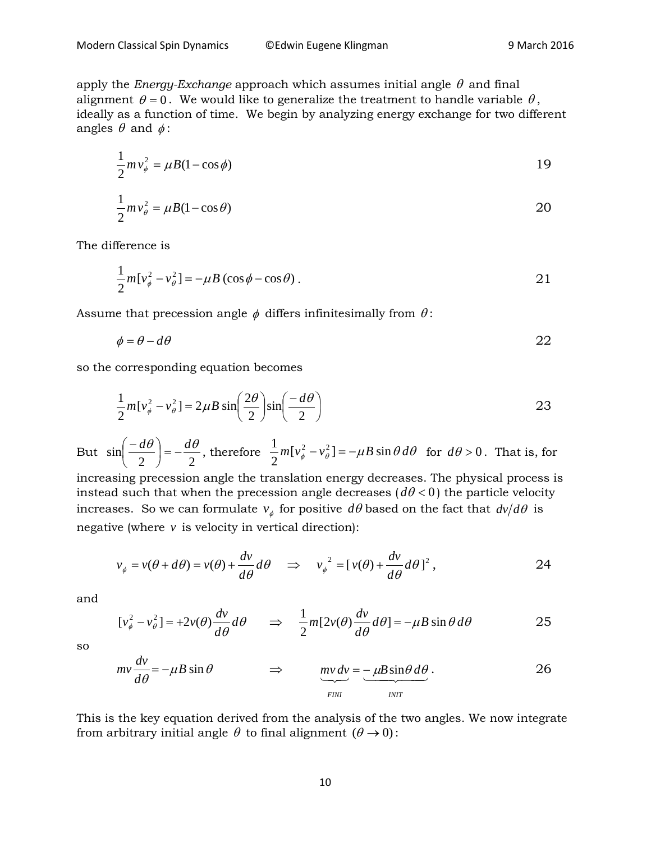apply the *Energy-Exchange* approach which assumes initial angle  $\theta$  and final alignment  $\theta = 0$ . We would like to generalize the treatment to handle variable  $\theta$ , ideally as a function of time. We begin by analyzing energy exchange for two different angles  $\theta$  and  $\phi$ :

$$
\frac{1}{2}mv_{\phi}^2 = \mu B(1 - \cos\phi) \tag{19}
$$

$$
\frac{1}{2}mv_{\theta}^{2} = \mu B(1 - \cos \theta)
$$

The difference is

$$
\frac{1}{2}m[v_{\phi}^{2} - v_{\theta}^{2}] = -\mu B(\cos\phi - \cos\theta). \tag{21}
$$

Assume that precession angle  $\phi$  differs infinitesimally from  $\theta$ :

$$
\phi = \theta - d\theta \tag{22}
$$

so the corresponding equation becomes

$$
\frac{1}{2}m[v_{\phi}^2 - v_{\theta}^2] = 2\mu B \sin\left(\frac{2\theta}{2}\right) \sin\left(\frac{-d\theta}{2}\right)
$$

But  $\sin\left(\frac{-d\theta}{2}\right) = -\frac{d\theta}{2}$  $\setminus$  $\left(\frac{-d\theta}{2}\right) = -\frac{d\theta}{2}$ , therefore  $\frac{1}{2}m[v_{\phi}^2 - v_{\theta}^2] = -\mu B \sin \theta d\theta$  $\frac{1}{2} m [v_{\phi}^2 - v_{\phi}^2] = -\mu B \sin \theta d\theta$  for  $d\theta > 0$ . That is, for

increasing precession angle the translation energy decreases. The physical process is instead such that when the precession angle decreases  $(d\theta < 0)$  the particle velocity increases. So we can formulate  $v_{\phi}$  for positive  $d\theta$  based on the fact that  $dv/d\theta$  is negative (where *v* is velocity in vertical direction):

$$
v_{\phi} = v(\theta + d\theta) = v(\theta) + \frac{dv}{d\theta} d\theta \implies v_{\phi}^{2} = [v(\theta) + \frac{dv}{d\theta} d\theta]^{2}, \qquad (24)
$$

and

$$
[v_{\phi}^{2} - v_{\theta}^{2}] = +2v(\theta)\frac{dv}{d\theta}d\theta \implies \frac{1}{2}m[2v(\theta)\frac{dv}{d\theta}d\theta] = -\mu B\sin\theta d\theta
$$

so

$$
mv\frac{dv}{d\theta} = -\mu B \sin \theta \qquad \Rightarrow \qquad \underbrace{mv\,dv}_{FINI} = -\mu B \sin \theta \, d\theta}_{NIT}.
$$

This is the key equation derived from the analysis of the two angles. We now integrate from arbitrary initial angle  $\theta$  to final alignment  $(\theta \rightarrow 0)$ :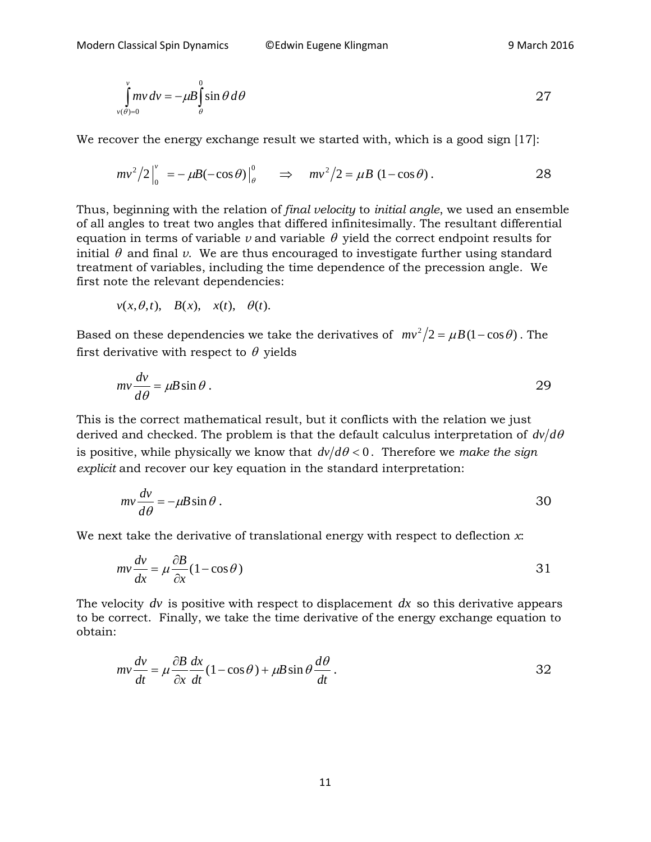$$
\int_{v(\theta)=0}^{v} mv dv = -\mu B \int_{\theta}^{0} \sin \theta d\theta
$$
 27

We recover the energy exchange result we started with, which is a good sign [17]:

$$
mv^2/2\Big|_0^v = -\mu B(-\cos\theta)\Big|_\theta^0 \qquad \Rightarrow \quad mv^2/2 = \mu B (1-\cos\theta). \tag{28}
$$

Thus, beginning with the relation of *final velocity* to *initial angle*, we used an ensemble of all angles to treat two angles that differed infinitesimally. The resultant differential equation in terms of variable  $\nu$  and variable  $\theta$  yield the correct endpoint results for initial  $\theta$  and final  $\nu$ . We are thus encouraged to investigate further using standard treatment of variables, including the time dependence of the precession angle. We first note the relevant dependencies:

$$
v(x, \theta, t), B(x), x(t), \theta(t).
$$

Based on these dependencies we take the derivatives of  $mv^2/2 = \mu B (1 - \cos \theta)$ . The first derivative with respect to  $\theta$  yields

$$
mv\frac{dv}{d\theta} = \mu B \sin \theta.
$$

This is the correct mathematical result, but it conflicts with the relation we just derived and checked. The problem is that the default calculus interpretation of  $dv/d\theta$ is positive, while physically we know that  $dv/d\theta < 0$ . Therefore we *make the sign explicit* and recover our key equation in the standard interpretation:

$$
mv\frac{dv}{d\theta} = -\mu B\sin\theta.
$$

We next take the derivative of translational energy with respect to deflection *x*:

$$
mv\frac{dv}{dx} = \mu \frac{\partial B}{\partial x} (1 - \cos \theta)
$$
 31

The velocity *dv* is positive with respect to displacement *dx* so this derivative appears to be correct. Finally, we take the time derivative of the energy exchange equation to obtain:

$$
mv\frac{dv}{dt} = \mu \frac{\partial B}{\partial x}\frac{dx}{dt}(1 - \cos\theta) + \mu B \sin\theta \frac{d\theta}{dt}.
$$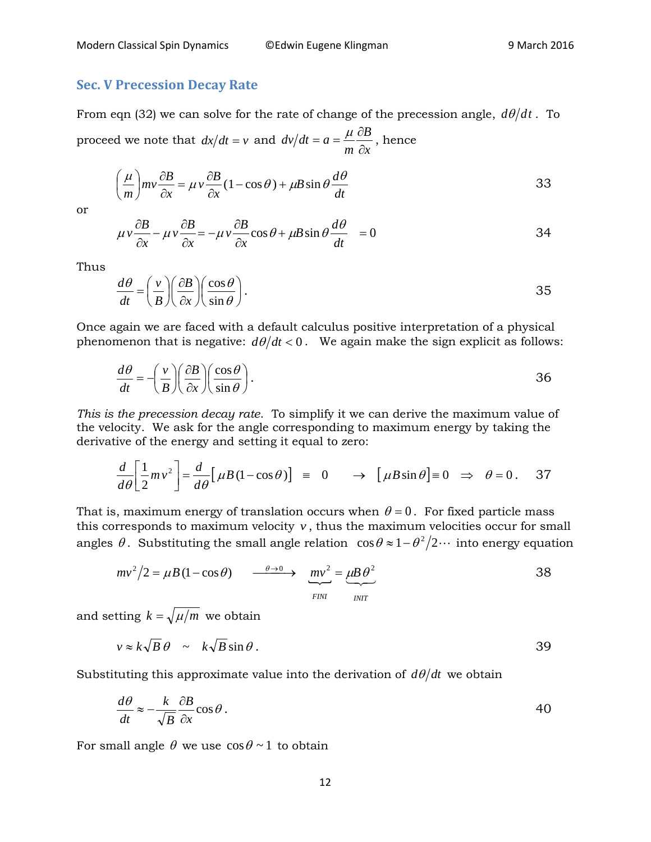#### **Sec. V Precession Decay Rate**

From eqn (32) we can solve for the rate of change of the precession angle,  $d\theta/dt$ . To proceed we note that  $dx/dt = v$  and *x B m*  $dv/dt = a$ ∂  $=a=\frac{\mu}{2}\frac{\partial B}{\partial \theta}$ , hence

$$
\left(\frac{\mu}{m}\right)mv\frac{\partial B}{\partial x} = \mu v \frac{\partial B}{\partial x}(1 - \cos \theta) + \mu B \sin \theta \frac{d\theta}{dt}
$$

or

$$
\mu v \frac{\partial B}{\partial x} - \mu v \frac{\partial B}{\partial x} = -\mu v \frac{\partial B}{\partial x} \cos \theta + \mu B \sin \theta \frac{d\theta}{dt} = 0
$$

Thus

$$
\frac{d\theta}{dt} = \left(\frac{v}{B}\right) \left(\frac{\partial B}{\partial x}\right) \left(\frac{\cos\theta}{\sin\theta}\right).
$$

Once again we are faced with a default calculus positive interpretation of a physical phenomenon that is negative:  $d\theta/dt < 0$ . We again make the sign explicit as follows:

$$
\frac{d\theta}{dt} = -\left(\frac{v}{B}\right) \left(\frac{\partial B}{\partial x}\right) \left(\frac{\cos\theta}{\sin\theta}\right).
$$

*This is the precession decay rate*. To simplify it we can derive the maximum value of the velocity. We ask for the angle corresponding to maximum energy by taking the derivative of the energy and setting it equal to zero:

$$
\frac{d}{d\theta} \left[ \frac{1}{2} m v^2 \right] = \frac{d}{d\theta} \left[ \mu B (1 - \cos \theta) \right] = 0 \rightarrow \left[ \mu B \sin \theta \right] = 0 \Rightarrow \theta = 0. \quad 37
$$

That is, maximum energy of translation occurs when  $\theta = 0$ . For fixed particle mass this corresponds to maximum velocity  $v$ , thus the maximum velocities occur for small angles  $\theta$ . Substituting the small angle relation  $\cos \theta \approx 1-\theta^2/2 \cdots$  into energy equation

$$
mv^{2}/2 = \mu B (1 - \cos \theta) \qquad \xrightarrow{\theta \to 0} \qquad mv^{2} = \underbrace{\mu B \theta^{2}}_{\text{FINI}} \qquad \qquad 38
$$

and setting  $k = \sqrt{\mu/m}$  we obtain

$$
v \approx k\sqrt{B}\,\theta \sim k\sqrt{B}\sin\theta. \tag{39}
$$

Substituting this approximate value into the derivation of  $d\theta/dt$  we obtain

$$
\frac{d\theta}{dt} \approx -\frac{k}{\sqrt{B}} \frac{\partial B}{\partial x} \cos \theta.
$$

For small angle  $\theta$  we use  $\cos \theta \sim 1$  to obtain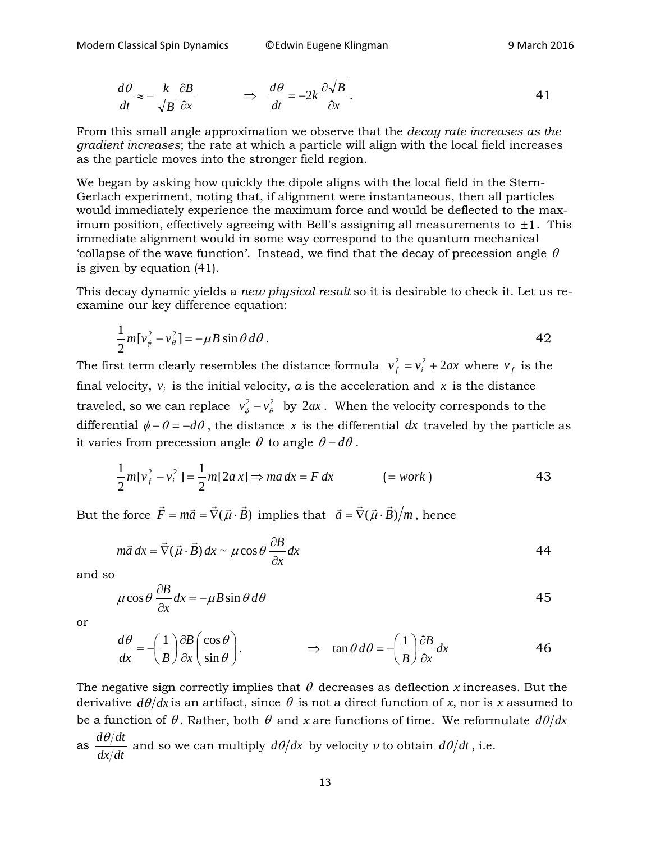$$
\frac{d\theta}{dt} \approx -\frac{k}{\sqrt{B}} \frac{\partial B}{\partial x} \qquad \Rightarrow \qquad \frac{d\theta}{dt} = -2k \frac{\partial \sqrt{B}}{\partial x}.
$$

From this small angle approximation we observe that the *decay rate increases as the gradient increases*; the rate at which a particle will align with the local field increases as the particle moves into the stronger field region.

We began by asking how quickly the dipole aligns with the local field in the Stern-Gerlach experiment, noting that, if alignment were instantaneous, then all particles would immediately experience the maximum force and would be deflected to the maximum position, effectively agreeing with Bell's assigning all measurements to  $\pm 1$ . This immediate alignment would in some way correspond to the quantum mechanical 'collapse of the wave function'. Instead, we find that the decay of precession angle  $\theta$ is given by equation (41).

This decay dynamic yields a *new physical result* so it is desirable to check it. Let us reexamine our key difference equation:

$$
\frac{1}{2}m[v_{\phi}^2 - v_{\theta}^2] = -\mu B \sin \theta d\theta.
$$

The first term clearly resembles the distance formula  $v_f^2 = v_i^2 + 2ax$  where  $v_f$  is the final velocity,  $v_i$  is the initial velocity,  $a$  is the acceleration and  $x$  is the distance traveled, so we can replace  $v^2_{\phi} - v^2_{\theta}$  by  $2ax$ . When the velocity corresponds to the differential  $\phi - \theta = -d\theta$ , the distance *x* is the differential *dx* traveled by the particle as it varies from precession angle  $\theta$  to angle  $\theta - d\theta$ .

$$
\frac{1}{2}m[v_f^2 - v_i^2] = \frac{1}{2}m[2ax] \Rightarrow ma\,dx = F\,dx \qquad \qquad (=work)
$$

But the force  $F = m\vec{a} = \nabla(\vec{\mu} \cdot \vec{B})$  $\vec{F} = m\vec{a} = \vec{\nabla}(\vec{\mu}\cdot\vec{B}) \,\,\,\text{implies that}\,\,\,\,\vec{a} = \vec{\nabla}(\vec{\mu}\cdot\vec{B})/m\,,\,\,\text{hence}$ 

$$
m\vec{a}\,dx = \vec{\nabla}(\vec{\mu}\cdot\vec{B})\,dx \sim \mu\cos\theta\,\frac{\partial B}{\partial x}\,dx\tag{44}
$$

and so

$$
\mu \cos \theta \frac{\partial B}{\partial x} dx = -\mu B \sin \theta d\theta
$$

or

$$
\frac{d\theta}{dx} = -\left(\frac{1}{B}\right)\frac{\partial B}{\partial x}\left(\frac{\cos\theta}{\sin\theta}\right). \qquad \Rightarrow \tan\theta \,d\theta = -\left(\frac{1}{B}\right)\frac{\partial B}{\partial x}dx \qquad \qquad 46
$$

The negative sign correctly implies that  $\theta$  decreases as deflection *x* increases. But the derivative  $d\theta/dx$  is an artifact, since  $\theta$  is not a direct function of *x*, nor is *x* assumed to be a function of  $\theta$ . Rather, both  $\theta$  and *x* are functions of time. We reformulate  $d\theta/dx$ as *dx dt*  $\frac{d\theta}{dt}$  and so we can multiply  $d\theta/dx$  by velocity *v* to obtain  $d\theta/dt$  , i.e.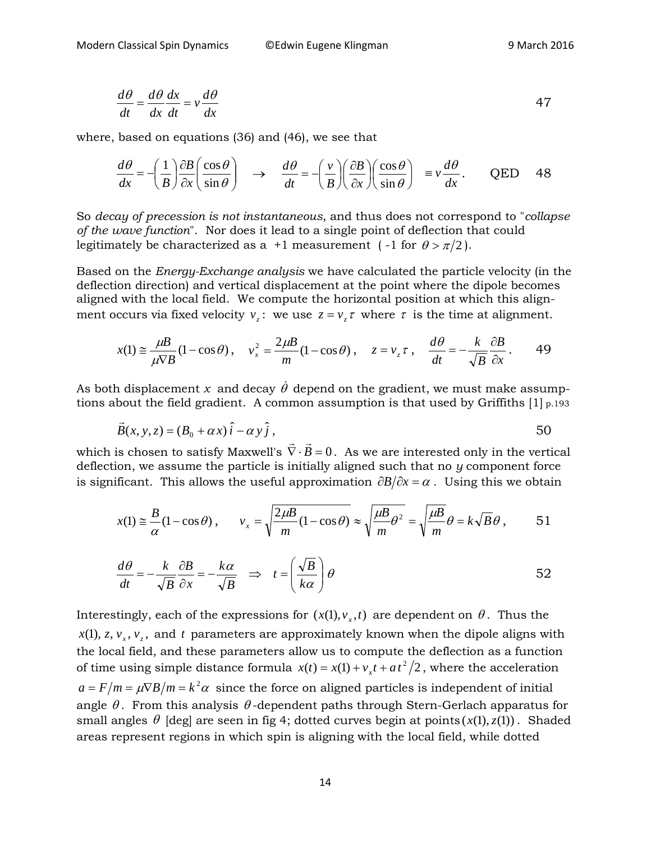$$
\frac{d\theta}{dt} = \frac{d\theta}{dx}\frac{dx}{dt} = v\frac{d\theta}{dx}
$$

where, based on equations (36) and (46), we see that

$$
\frac{d\theta}{dx} = -\left(\frac{1}{B}\right)\frac{\partial B}{\partial x}\left(\frac{\cos\theta}{\sin\theta}\right) \quad \to \quad \frac{d\theta}{dt} = -\left(\frac{v}{B}\right)\left(\frac{\partial B}{\partial x}\right)\left(\frac{\cos\theta}{\sin\theta}\right) \quad \equiv v\frac{d\theta}{dx}.
$$
 QED 48

So *decay of precession is not instantaneous*, and thus does not correspond to "*collapse of the wave function*". Nor does it lead to a single point of deflection that could legitimately be characterized as a +1 measurement (-1 for  $\theta > \pi/2$ ).

Based on the *Energy-Exchange analysis* we have calculated the particle velocity (in the deflection direction) and vertical displacement at the point where the dipole becomes aligned with the local field. We compute the horizontal position at which this alignment occurs via fixed velocity  $v_z$ : we use  $z = v_z \tau$  where  $\tau$  is the time at alignment.

$$
x(1) \approx \frac{\mu}{\mu \sqrt{B}} (1 - \cos \theta), \quad v_x^2 = \frac{2\mu}{m} (1 - \cos \theta), \quad z = v_z \tau, \quad \frac{d\theta}{dt} = -\frac{k}{\sqrt{B}} \frac{\partial B}{\partial x}.
$$

As both displacement  $x$  and decay  $\dot{\theta}$  depend on the gradient, we must make assumptions about the field gradient. A common assumption is that used by Griffiths [1] p.193

$$
\vec{B}(x, y, z) = (B_0 + \alpha x)\hat{i} - \alpha y\hat{j},
$$

which is chosen to satisfy Maxwell's  $\vec{\nabla} \cdot \vec{B} = 0$ . As we are interested only in the vertical deflection, we assume the particle is initially aligned such that no *y* component force is significant. This allows the useful approximation  $\partial B/\partial x = \alpha$ . Using this we obtain

$$
x(1) \approx \frac{B}{\alpha} (1 - \cos \theta) \,, \qquad v_x = \sqrt{\frac{2 \mu B}{m} (1 - \cos \theta)} \approx \sqrt{\frac{\mu B}{m} \theta^2} = \sqrt{\frac{\mu B}{m}} \theta = k \sqrt{B} \theta \,, \qquad 51
$$

$$
\frac{d\theta}{dt} = -\frac{k}{\sqrt{B}} \frac{\partial B}{\partial x} = -\frac{k\alpha}{\sqrt{B}} \implies t = \left(\frac{\sqrt{B}}{k\alpha}\right)\theta
$$

Interestingly, each of the expressions for  $(x(1), v<sub>r</sub>, t)$  are dependent on  $\theta$ . Thus the  $x(1), z, v_x, v_z$ , and *t* parameters are approximately known when the dipole aligns with the local field, and these parameters allow us to compute the deflection as a function of time using simple distance formula  $x(t) = x(1) + v_x t + at^2/2$ , where the acceleration  $a = F/m = \mu \nabla B/m = k^2 \alpha$  since the force on aligned particles is independent of initial angle  $\theta$ . From this analysis  $\theta$ -dependent paths through Stern-Gerlach apparatus for small angles  $\theta$  [deg] are seen in fig 4; dotted curves begin at points  $(x(1), z(1))$ . Shaded areas represent regions in which spin is aligning with the local field, while dotted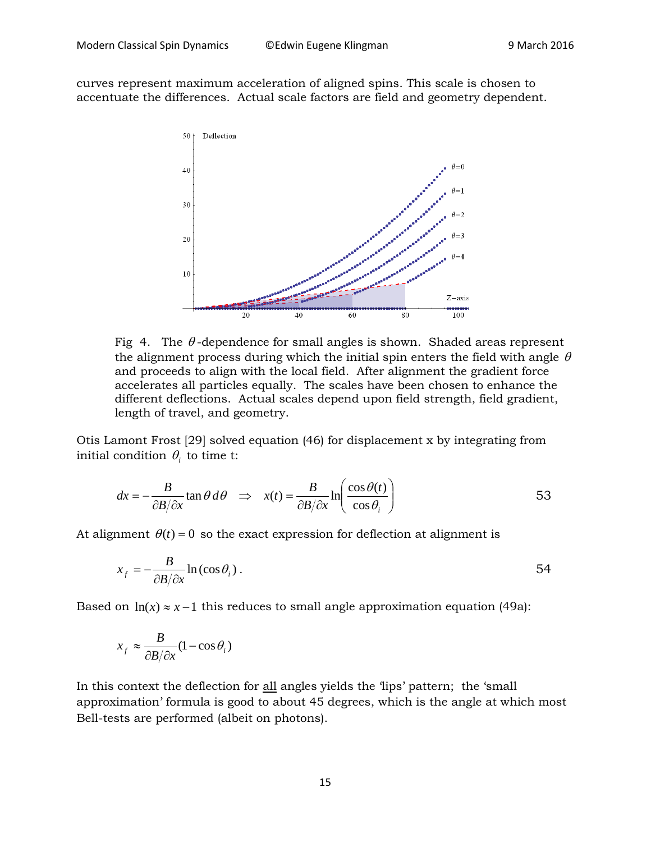curves represent maximum acceleration of aligned spins. This scale is chosen to accentuate the differences. Actual scale factors are field and geometry dependent.



Fig 4. The  $\theta$ -dependence for small angles is shown. Shaded areas represent the alignment process during which the initial spin enters the field with angle  $\theta$ and proceeds to align with the local field. After alignment the gradient force accelerates all particles equally. The scales have been chosen to enhance the different deflections. Actual scales depend upon field strength, field gradient, length of travel, and geometry.

Otis Lamont Frost [29] solved equation (46) for displacement x by integrating from initial condition  $\theta_i$  to time t:

$$
dx = -\frac{B}{\partial B/\partial x} \tan \theta \, d\theta \implies x(t) = \frac{B}{\partial B/\partial x} \ln \left( \frac{\cos \theta(t)}{\cos \theta_i} \right) \tag{53}
$$

At alignment  $\theta(t) = 0$  so the exact expression for deflection at alignment is

$$
x_f = -\frac{B}{\partial B/\partial x} \ln(\cos \theta_i) \,. \tag{54}
$$

Based on  $ln(x) \approx x - 1$  this reduces to small angle approximation equation (49a):

$$
x_f \approx \frac{B}{\partial B/\partial x} (1 - \cos \theta_i)
$$

In this context the deflection for all angles yields the 'lips' pattern; the 'small approximation' formula is good to about 45 degrees, which is the angle at which most Bell-tests are performed (albeit on photons).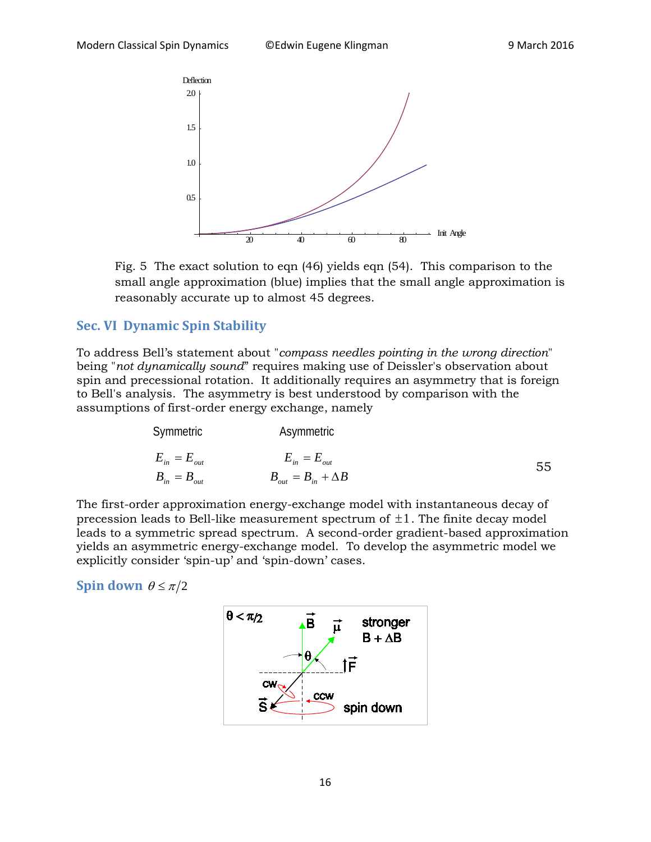

Fig. 5 The exact solution to eqn (46) yields eqn (54). This comparison to the small angle approximation (blue) implies that the small angle approximation is reasonably accurate up to almost 45 degrees.

#### **Sec. VI Dynamic Spin Stability**

To address Bell's statement about "*compass needles pointing in the wrong direction*" being "*not dynamically sound*" requires making use of Deissler's observation about spin and precessional rotation. It additionally requires an asymmetry that is foreign to Bell's analysis. The asymmetry is best understood by comparison with the assumptions of first-order energy exchange, namely

| Symmetric        | Asymmetric                    |    |
|------------------|-------------------------------|----|
| $E_{in}=E_{out}$ | $E_{in}=E_{out}$              | 55 |
| $B_{in}=B_{out}$ | $B_{out} = B_{in} + \Delta B$ |    |

The first-order approximation energy-exchange model with instantaneous decay of precession leads to Bell-like measurement spectrum of  $\pm 1$ . The finite decay model leads to a symmetric spread spectrum. A second-order gradient-based approximation yields an asymmetric energy-exchange model. To develop the asymmetric model we explicitly consider 'spin-up' and 'spin-down' cases.

**Spin down**  $\theta \leq \pi/2$ 

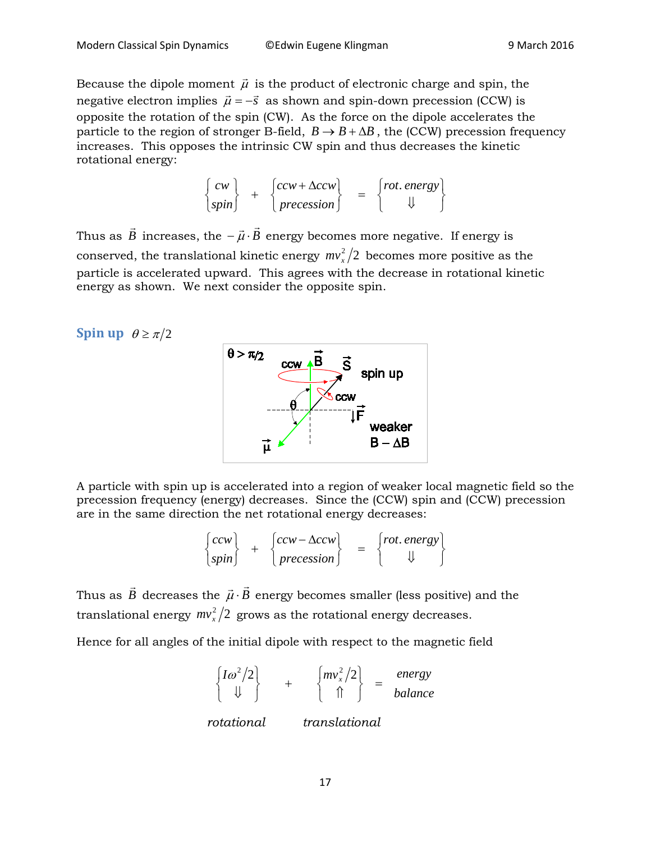Because the dipole moment  $\vec{\mu}$  is the product of electronic charge and spin, the negative electron implies  $\vec{\mu} = -\vec{s}$  as shown and spin-down precession (CCW) is opposite the rotation of the spin (CW). As the force on the dipole accelerates the particle to the region of stronger B-field,  $B \to B + \Delta B$ , the (CCW) precession frequency increases. This opposes the intrinsic CW spin and thus decreases the kinetic rotational energy:

$$
\begin{Bmatrix} cw \\ spin \end{Bmatrix} + \begin{Bmatrix} ccw + \Delta ccw \\ precession \end{Bmatrix} = \begin{Bmatrix} rot. energy \\ \Downarrow \end{Bmatrix}
$$

Thus as  $\vec{B}$  increases, the  $-\vec{\mu}\cdot\vec{B}$  energy becomes more negative. If energy is conserved, the translational kinetic energy  $mv_x^2/2$  becomes more positive as the particle is accelerated upward. This agrees with the decrease in rotational kinetic energy as shown. We next consider the opposite spin.

#### **Spin up**  $\theta \ge \pi/2$



A particle with spin up is accelerated into a region of weaker local magnetic field so the precession frequency (energy) decreases. Since the (CCW) spin and (CCW) precession are in the same direction the net rotational energy decreases:

$$
\begin{cases} ccw \\ spin \end{cases} + \begin{cases} ccw - \Delta ccw \\ precession \end{cases} = \begin{cases} rot. energy \\ \downarrow \end{cases}
$$

Thus as  $\vec{B}$  decreases the  $\vec{\mu}\cdot\vec{B}$  energy becomes smaller (less positive) and the translational energy  $\frac{mv_x^2}{2}$  grows as the rotational energy decreases.

Hence for all angles of the initial dipole with respect to the magnetic field

*balance*  $Im^2/2$  +  $\left\{mv_x^2/2\right\}$  = energy  $\int$  $\left\{ \right.$  $\mathbf{I}$  $\overline{\mathcal{L}}$ ⇃  $\int$  $\left\{\begin{array}{ccc} & + & \begin{array}{c} & \text{if } & \text{if } & \text{if } & \text{if } & \text{if } & \text{if } & \text{if } & \text{if } & \text{if } & \text{if } & \text{if } & \text{if } & \text{if } & \text{if } & \text{if } & \text{if } & \text{if } & \text{if } & \text{if } & \text{if } & \text{if } & \text{if } & \text{if } & \text{if } & \text{if } & \text{if } & \text{if } & \text{if } & \text{if } & \text{if } & \text{if } & \text{if } & \text{if } & \$  $\left\{ \right.$  $\mathbf{I}$  $\overline{\mathcal{L}}$ ⇃  $\int$ ⇓  $\omega^2/2$   $\left(mv_x^2/2\right)$ 

 *rotational translational*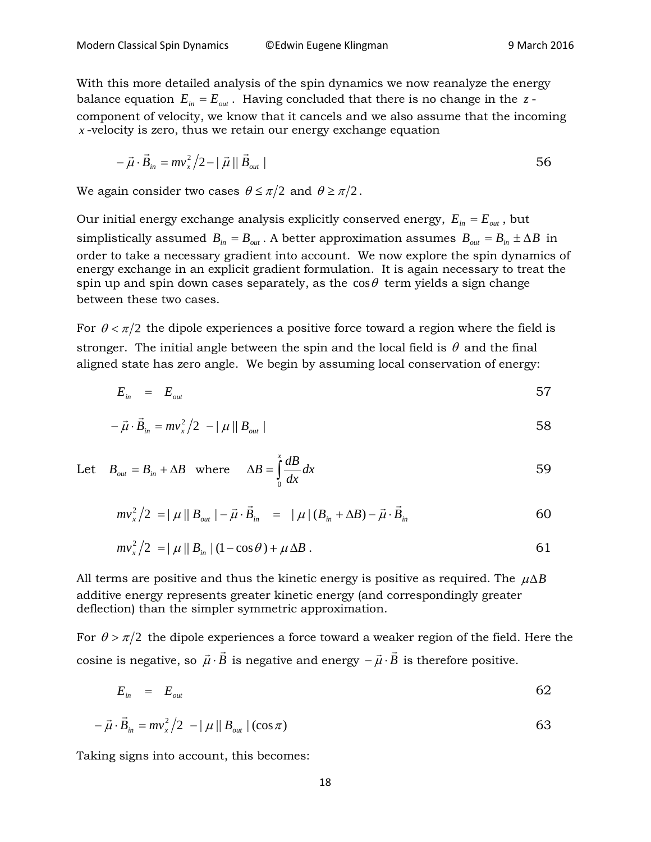With this more detailed analysis of the spin dynamics we now reanalyze the energy balance equation  $E_{in} = E_{out}$ . Having concluded that there is no change in the  $z$ component of velocity, we know that it cancels and we also assume that the incoming *x* -velocity is zero, thus we retain our energy exchange equation

$$
-\vec{\mu} \cdot \vec{B}_{in} = mv_x^2/2 - |\vec{\mu}| |\vec{B}_{out}|
$$

We again consider two cases  $\theta \leq \pi/2$  and  $\theta \geq \pi/2$ .

Our initial energy exchange analysis explicitly conserved energy,  $E_{in} = E_{out}$ , but simplistically assumed  $B_{in} = B_{out}$ . A better approximation assumes  $B_{out} = B_{in} \pm \Delta B$  in order to take a necessary gradient into account. We now explore the spin dynamics of energy exchange in an explicit gradient formulation. It is again necessary to treat the spin up and spin down cases separately, as the  $\cos\theta$  term yields a sign change between these two cases.

For  $\theta < \pi/2$  the dipole experiences a positive force toward a region where the field is stronger. The initial angle between the spin and the local field is  $\theta$  and the final aligned state has zero angle. We begin by assuming local conservation of energy:

$$
E_{in} = E_{out} \tag{57}
$$

$$
-\vec{\mu} \cdot \vec{B}_{in} = mv_x^2/2 - |\mu||B_{out}|
$$

Let 
$$
B_{out} = B_{in} + \Delta B
$$
 where  $\Delta B = \int_{0}^{x} \frac{dB}{dx} dx$  59

$$
mv_{x}^{2}/2 = |\mu||B_{out}| - \vec{\mu} \cdot \vec{B}_{in} = |\mu|(B_{in} + \Delta B) - \vec{\mu} \cdot \vec{B}_{in}
$$

$$
mv_x^2/2 = |\mu||B_{in}|(1-\cos\theta) + \mu\Delta B.
$$

All terms are positive and thus the kinetic energy is positive as required. The  $\mu\Delta B$ additive energy represents greater kinetic energy (and correspondingly greater deflection) than the simpler symmetric approximation.

For  $\theta > \pi/2$  the dipole experiences a force toward a weaker region of the field. Here the cosine is negative, so  $\vec{\mu} \cdot B$  $\rightarrow$   $\vec{n}$  $\vec{\mu} \cdot \vec{B}$  is negative and energy  $-\vec{\mu} \cdot \vec{B}$  is therefore positive.

$$
E_{in} = E_{out} \tag{62}
$$

$$
-\vec{\mu} \cdot \vec{B}_{in} = mv_x^2/2 - |\mu||B_{out}|(\cos \pi)
$$

Taking signs into account, this becomes: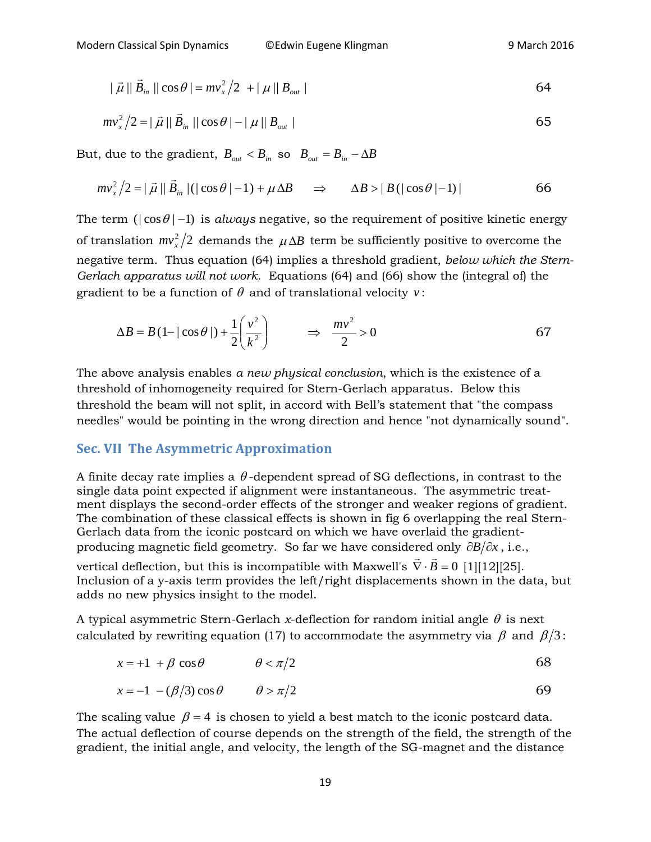$$
|\vec{\mu}| |\vec{B}_{in}| |\cos \theta| = mv_x^2/2 + |\mu| |B_{out}|
$$

$$
mv_x^2/2 = |\vec{\mu}| |\vec{B}_{in}| |\cos \theta| - |\mu| |B_{out}|
$$

But, due to the gradient,  $B_{out} < B_{in}$  so  $B_{out} = B_{in} - \Delta B$ 

$$
mv_x^2/2 = |\vec{\mu}| |\vec{B}_{in}| (|\cos \theta| - 1) + \mu \Delta B \quad \Rightarrow \quad \Delta B > |B(|\cos \theta| - 1)| \tag{66}
$$

The term ( $|\cos \theta|$  –1) is *always* negative, so the requirement of positive kinetic energy of translation  $mv_x^2/2$  demands the  $\mu \Delta B$  term be sufficiently positive to overcome the negative term. Thus equation (64) implies a threshold gradient, *below which the Stern-Gerlach apparatus will not work*. Equations (64) and (66) show the (integral of) the gradient to be a function of  $\theta$  and of translational velocity  $v$ :

$$
\Delta B = B \left( 1 - |\cos \theta| \right) + \frac{1}{2} \left( \frac{v^2}{k^2} \right) \qquad \Rightarrow \qquad \frac{mv^2}{2} > 0 \tag{67}
$$

The above analysis enables *a new physical conclusion*, which is the existence of a threshold of inhomogeneity required for Stern-Gerlach apparatus. Below this threshold the beam will not split, in accord with Bell's statement that "the compass needles" would be pointing in the wrong direction and hence "not dynamically sound".

#### **Sec. VII The Asymmetric Approximation**

A finite decay rate implies a  $\theta$ -dependent spread of SG deflections, in contrast to the single data point expected if alignment were instantaneous. The asymmetric treatment displays the second-order effects of the stronger and weaker regions of gradient. The combination of these classical effects is shown in fig 6 overlapping the real Stern-Gerlach data from the iconic postcard on which we have overlaid the gradientproducing magnetic field geometry. So far we have considered only ∂*B* ∂*x* , i.e.,

vertical deflection, but this is incompatible with Maxwell's  $\vec{\nabla} \cdot \vec{B} = 0$  [1][12][25]. Inclusion of a y-axis term provides the left/right displacements shown in the data, but adds no new physics insight to the model.

A typical asymmetric Stern-Gerlach *x*-deflection for random initial angle  $\theta$  is next calculated by rewriting equation (17) to accommodate the asymmetry via  $\beta$  and  $\beta/3$ :

$$
x = +1 + \beta \cos \theta \qquad \theta < \pi/2 \tag{68}
$$

$$
x = -1 - (\beta/3)\cos\theta \qquad \theta > \pi/2
$$

The scaling value  $\beta = 4$  is chosen to yield a best match to the iconic postcard data. The actual deflection of course depends on the strength of the field, the strength of the gradient, the initial angle, and velocity, the length of the SG-magnet and the distance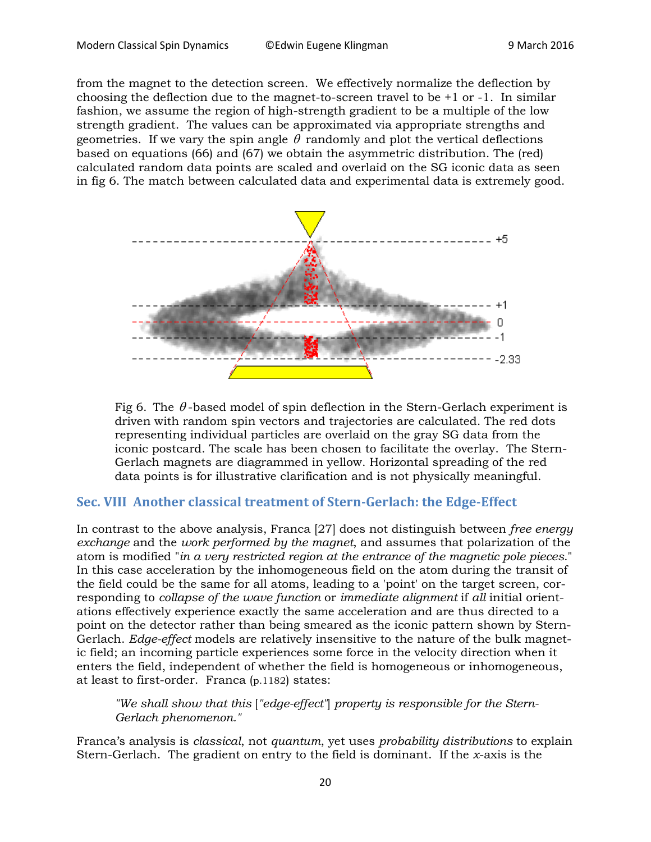from the magnet to the detection screen. We effectively normalize the deflection by choosing the deflection due to the magnet-to-screen travel to be  $+1$  or  $-1$ . In similar fashion, we assume the region of high-strength gradient to be a multiple of the low strength gradient. The values can be approximated via appropriate strengths and geometries. If we vary the spin angle  $\theta$  randomly and plot the vertical deflections based on equations (66) and (67) we obtain the asymmetric distribution. The (red) calculated random data points are scaled and overlaid on the SG iconic data as seen in fig 6. The match between calculated data and experimental data is extremely good.





## **Sec. VIII Another classical treatment of Stern-Gerlach: the Edge-Effect**

In contrast to the above analysis, Franca [27] does not distinguish between *free energy exchange* and the *work performed by the magnet*, and assumes that polarization of the atom is modified "*in a very restricted region at the entrance of the magnetic pole pieces*." In this case acceleration by the inhomogeneous field on the atom during the transit of the field could be the same for all atoms, leading to a 'point' on the target screen, corresponding to *collapse of the wave function* or *immediate alignment* if *all* initial orientations effectively experience exactly the same acceleration and are thus directed to a point on the detector rather than being smeared as the iconic pattern shown by Stern-Gerlach. *Edge-effect* models are relatively insensitive to the nature of the bulk magnetic field; an incoming particle experiences some force in the velocity direction when it enters the field, independent of whether the field is homogeneous or inhomogeneous, at least to first-order. Franca (p.1182) states:

*"We shall show that this* [*"edge-effect"*] *property is responsible for the Stern-Gerlach phenomenon."*

Franca's analysis is *classical*, not *quantum*, yet uses *probability distributions* to explain Stern-Gerlach. The gradient on entry to the field is dominant. If the *x*-axis is the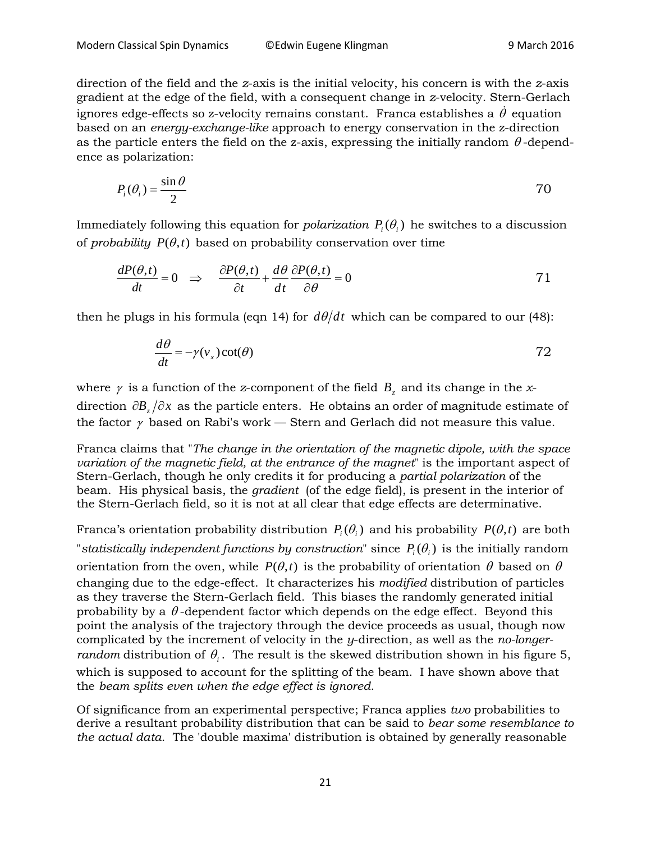direction of the field and the *z*-axis is the initial velocity, his concern is with the *z*-axis gradient at the edge of the field, with a consequent change in *z*-velocity. Stern-Gerlach ignores edge-effects so z-velocity remains constant. Franca establishes a  $\dot{\theta}$  equation based on an *energy-exchange-like* approach to energy conservation in the z-direction as the particle enters the field on the z-axis, expressing the initially random  $\theta$ -dependence as polarization:

$$
P_i(\theta_i) = \frac{\sin \theta}{2}
$$

Immediately following this equation for *polarization*  $P_i(\theta_i)$  he switches to a discussion of *probability*  $P(\theta, t)$  based on probability conservation over time

$$
\frac{dP(\theta,t)}{dt} = 0 \quad \Rightarrow \quad \frac{\partial P(\theta,t)}{\partial t} + \frac{d\theta}{dt} \frac{\partial P(\theta,t)}{\partial \theta} = 0 \tag{71}
$$

then he plugs in his formula (eqn 14) for  $d\theta/dt$  which can be compared to our (48):

$$
\frac{d\theta}{dt} = -\gamma(v_x)\cot(\theta) \tag{72}
$$

where  $\gamma$  is a function of the *z*-component of the field  $B$ <sub>z</sub> and its change in the *x*direction  $\partial B$   $\partial x$  as the particle enters. He obtains an order of magnitude estimate of the factor  $\gamma$  based on Rabi's work — Stern and Gerlach did not measure this value.

Franca claims that "*The change in the orientation of the magnetic dipole, with the space variation of the magnetic field, at the entrance of the magnet*" is the important aspect of Stern-Gerlach, though he only credits it for producing a *partial polarization* of the beam. His physical basis, the *gradient* (of the edge field), is present in the interior of the Stern-Gerlach field, so it is not at all clear that edge effects are determinative.

Franca's orientation probability distribution  $P_i(\theta_i)$  and his probability  $P(\theta,t)$  are both "*statistically independent functions by construction*" since  $P_i(\theta_i)$  is the initially random orientation from the oven, while  $P(\theta,t)$  is the probability of orientation  $\theta$  based on  $\theta$ changing due to the edge-effect. It characterizes his *modified* distribution of particles as they traverse the Stern-Gerlach field. This biases the randomly generated initial probability by a  $\theta$ -dependent factor which depends on the edge effect. Beyond this point the analysis of the trajectory through the device proceeds as usual, though now complicated by the increment of velocity in the *y*-direction, as well as the *no-longerrandom* distribution of  $\theta$ . The result is the skewed distribution shown in his figure 5, which is supposed to account for the splitting of the beam. I have shown above that the *beam splits even when the edge effect is ignored*.

Of significance from an experimental perspective; Franca applies *two* probabilities to derive a resultant probability distribution that can be said to *bear some resemblance to the actual data*. The 'double maxima' distribution is obtained by generally reasonable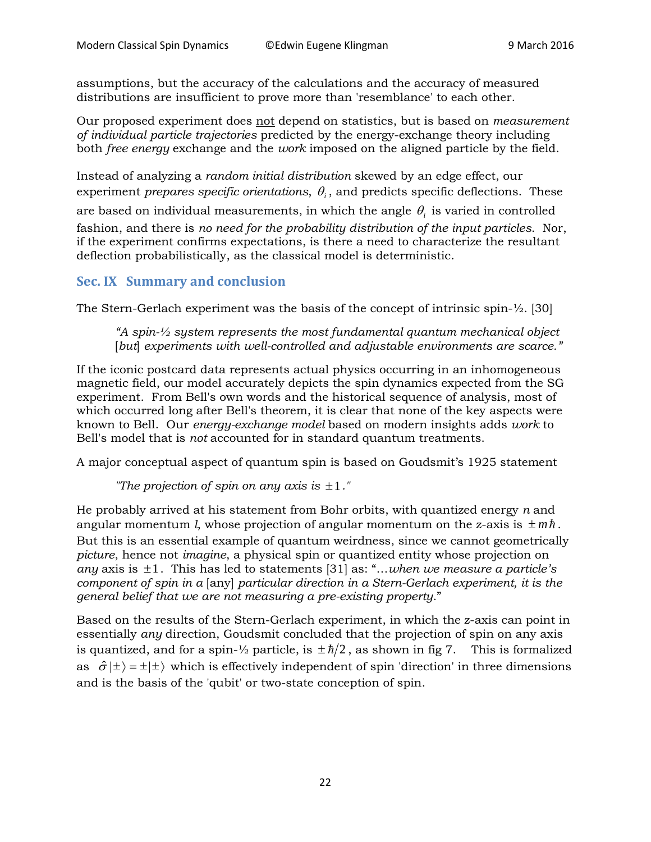assumptions, but the accuracy of the calculations and the accuracy of measured distributions are insufficient to prove more than 'resemblance' to each other.

Our proposed experiment does not depend on statistics, but is based on *measurement of individual particle trajectories* predicted by the energy-exchange theory including both *free energy* exchange and the *work* imposed on the aligned particle by the field.

Instead of analyzing a *random initial distribution* skewed by an edge effect, our experiment *prepares specific orientations*,  $\theta_i$ , and predicts specific deflections. These

are based on individual measurements, in which the angle  $\theta_i$  is varied in controlled

fashion, and there is *no need for the probability distribution of the input particles*. Nor, if the experiment confirms expectations, is there a need to characterize the resultant deflection probabilistically, as the classical model is deterministic.

#### **Sec. IX Summary and conclusion**

The Stern-Gerlach experiment was the basis of the concept of intrinsic spin-½. [30]

*"A spin-½ system represents the most fundamental quantum mechanical object* [*but*] *experiments with well-controlled and adjustable environments are scarce."*

If the iconic postcard data represents actual physics occurring in an inhomogeneous magnetic field, our model accurately depicts the spin dynamics expected from the SG experiment. From Bell's own words and the historical sequence of analysis, most of which occurred long after Bell's theorem, it is clear that none of the key aspects were known to Bell. Our *energy-exchange model* based on modern insights adds *work* to Bell's model that is *not* accounted for in standard quantum treatments.

A major conceptual aspect of quantum spin is based on Goudsmit's 1925 statement

*"The projection of spin on any axis is* ±1*."*

He probably arrived at his statement from Bohr orbits, with quantized energy *n* and angular momentum *l*, whose projection of angular momentum on the z-axis is  $\pm m\hbar$ . But this is an essential example of quantum weirdness, since we cannot geometrically *picture*, hence not *imagine*, a physical spin or quantized entity whose projection on *any* axis is ±1. This has led to statements [31] as: "…*when we measure a particle's component of spin in a* [any] *particular direction in a Stern-Gerlach experiment, it is the general belief that we are not measuring a pre-existing property*."

Based on the results of the Stern-Gerlach experiment, in which the z-axis can point in essentially *any* direction, Goudsmit concluded that the projection of spin on any axis is quantized, and for a spin- $\frac{1}{2}$  particle, is  $\pm \frac{\hbar}{2}$ , as shown in fig 7. This is formalized as  $\hat{\sigma} | \pm \rangle = \pm | \pm \rangle$  which is effectively independent of spin 'direction' in three dimensions and is the basis of the 'qubit' or two-state conception of spin.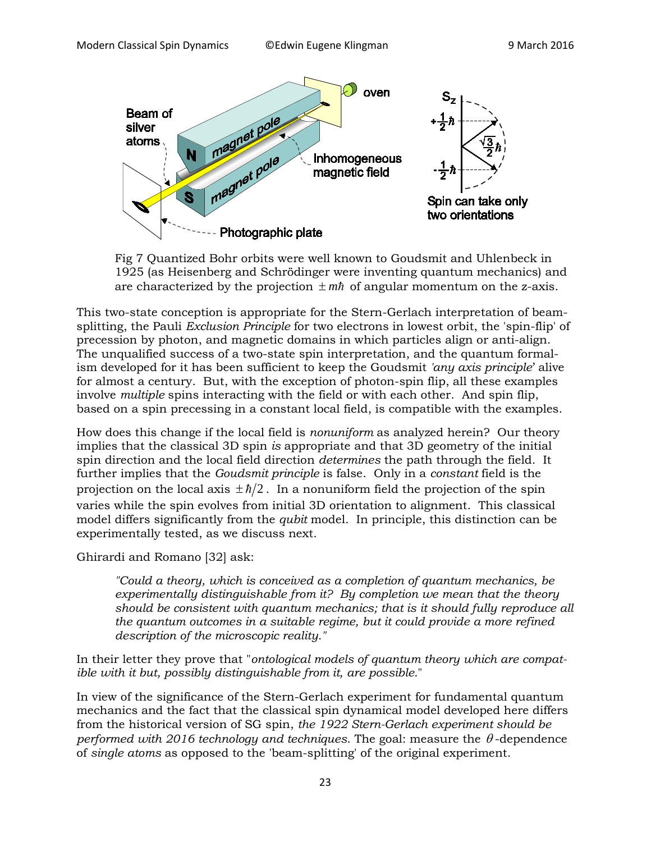

Fig 7 Quantized Bohr orbits were well known to Goudsmit and Uhlenbeck in 1925 (as Heisenberg and Schrödinger were inventing quantum mechanics) and are characterized by the projection  $\pm m\hbar$  of angular momentum on the z-axis.

This two-state conception is appropriate for the Stern-Gerlach interpretation of beamsplitting, the Pauli *Exclusion Principle* for two electrons in lowest orbit, the 'spin-flip' of precession by photon, and magnetic domains in which particles align or anti-align. The unqualified success of a two-state spin interpretation, and the quantum formalism developed for it has been sufficient to keep the Goudsmit *'any axis principle*' alive for almost a century. But, with the exception of photon-spin flip, all these examples involve *multiple* spins interacting with the field or with each other. And spin flip, based on a spin precessing in a constant local field, is compatible with the examples.

How does this change if the local field is *nonuniform* as analyzed herein? Our theory implies that the classical 3D spin *is* appropriate and that 3D geometry of the initial spin direction and the local field direction *determines* the path through the field. It further implies that the *Goudsmit principle* is false. Only in a *constant* field is the projection on the local axis  $\pm \hbar/2$ . In a nonuniform field the projection of the spin varies while the spin evolves from initial 3D orientation to alignment. This classical model differs significantly from the *qubit* model. In principle, this distinction can be experimentally tested, as we discuss next.

Ghirardi and Romano [32] ask:

*"Could a theory, which is conceived as a completion of quantum mechanics, be experimentally distinguishable from it? By completion we mean that the theory should be consistent with quantum mechanics; that is it should fully reproduce all the quantum outcomes in a suitable regime, but it could provide a more refined description of the microscopic reality."*

In their letter they prove that "*ontological models of quantum theory which are compatible with it but, possibly distinguishable from it, are possible*."

In view of the significance of the Stern-Gerlach experiment for fundamental quantum mechanics and the fact that the classical spin dynamical model developed here differs from the historical version of SG spin, *the 1922 Stern-Gerlach experiment should be performed with 2016 technology and techniques*. The goal: measure the θ -dependence of *single atoms* as opposed to the 'beam-splitting' of the original experiment.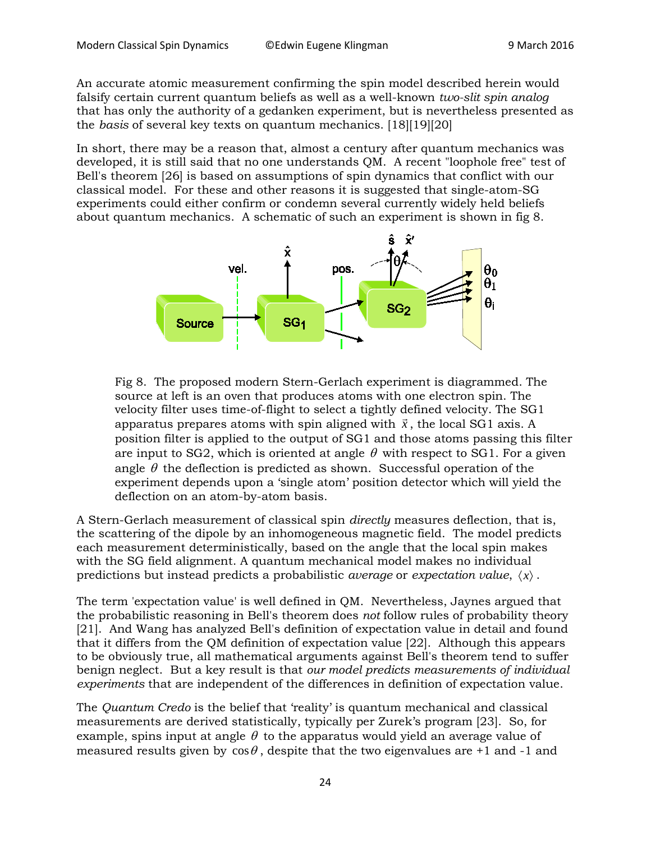An accurate atomic measurement confirming the spin model described herein would falsify certain current quantum beliefs as well as a well-known *two-slit spin analog* that has only the authority of a gedanken experiment, but is nevertheless presented as the *basis* of several key texts on quantum mechanics. [18][19][20]

In short, there may be a reason that, almost a century after quantum mechanics was developed, it is still said that no one understands QM. A recent "loophole free" test of Bell's theorem [26] is based on assumptions of spin dynamics that conflict with our classical model. For these and other reasons it is suggested that single-atom-SG experiments could either confirm or condemn several currently widely held beliefs about quantum mechanics. A schematic of such an experiment is shown in fig 8.



Fig 8. The proposed modern Stern-Gerlach experiment is diagrammed. The source at left is an oven that produces atoms with one electron spin. The velocity filter uses time-of-flight to select a tightly defined velocity. The SG1 apparatus prepares atoms with spin aligned with  $\vec{x}$  $\frac{1}{1}$ , the local SG1 axis. A position filter is applied to the output of SG1 and those atoms passing this filter are input to SG2, which is oriented at angle  $\theta$  with respect to SG1. For a given angle  $\theta$  the deflection is predicted as shown. Successful operation of the experiment depends upon a 'single atom' position detector which will yield the deflection on an atom-by-atom basis.

A Stern-Gerlach measurement of classical spin *directly* measures deflection, that is, the scattering of the dipole by an inhomogeneous magnetic field. The model predicts each measurement deterministically, based on the angle that the local spin makes with the SG field alignment. A quantum mechanical model makes no individual predictions but instead predicts a probabilistic *average* or *expectation value*, 〈*x*〉 .

The term 'expectation value' is well defined in QM. Nevertheless, Jaynes argued that the probabilistic reasoning in Bell's theorem does *not* follow rules of probability theory [21]. And Wang has analyzed Bell's definition of expectation value in detail and found that it differs from the QM definition of expectation value [22]. Although this appears to be obviously true, all mathematical arguments against Bell's theorem tend to suffer benign neglect. But a key result is that *our model predicts measurements of individual experiments* that are independent of the differences in definition of expectation value.

The *Quantum Credo* is the belief that 'reality' is quantum mechanical and classical measurements are derived statistically, typically per Zurek's program [23]. So, for example, spins input at angle  $\theta$  to the apparatus would yield an average value of measured results given by  $\cos\theta$ , despite that the two eigenvalues are +1 and -1 and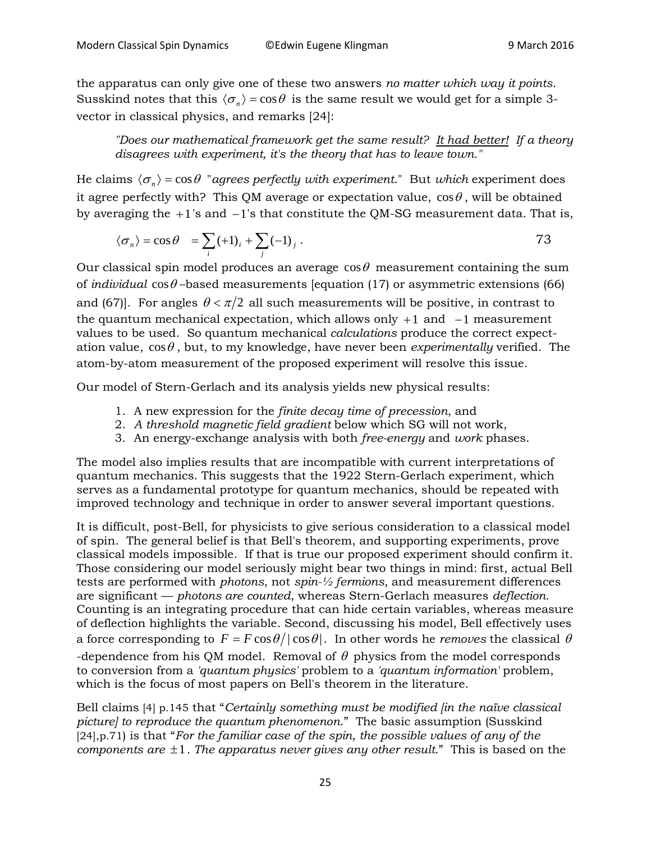the apparatus can only give one of these two answers *no matter which way it points*. Susskind notes that this  $\langle \sigma_n \rangle = \cos \theta$  is the same result we would get for a simple 3vector in classical physics, and remarks [24]:

*"Does our mathematical framework get the same result? It had better! If a theory disagrees with experiment, it's the theory that has to leave town."*

He claims  $\langle \sigma_{n} \rangle$  = cos  $\theta$  "*agrees perfectly with experiment*." But *which* experiment does it agree perfectly with? This QM average or expectation value,  $\cos \theta$ , will be obtained by averaging the +1's and −1's that constitute the QM-SG measurement data. That is,

$$
\langle \sigma_n \rangle = \cos \theta = \sum_i (+1)_i + \sum_j (-1)_j.
$$

Our classical spin model produces an average  $\cos\theta$  measurement containing the sum of *individual*  $\cos\theta$  –based measurements [equation (17) or asymmetric extensions (66) and (67). For angles  $\theta < \pi/2$  all such measurements will be positive, in contrast to the quantum mechanical expectation, which allows only  $+1$  and  $-1$  measurement values to be used. So quantum mechanical *calculations* produce the correct expectation value,  $cos\theta$ , but, to my knowledge, have never been *experimentally* verified. The atom-by-atom measurement of the proposed experiment will resolve this issue.

Our model of Stern-Gerlach and its analysis yields new physical results:

- 1. A new expression for the *finite decay time of precession*, and
- 2. *A threshold magnetic field gradient* below which SG will not work,
- 3. An energy-exchange analysis with both *free-energy* and *work* phases.

The model also implies results that are incompatible with current interpretations of quantum mechanics. This suggests that the 1922 Stern-Gerlach experiment, which serves as a fundamental prototype for quantum mechanics, should be repeated with improved technology and technique in order to answer several important questions.

It is difficult, post-Bell, for physicists to give serious consideration to a classical model of spin. The general belief is that Bell's theorem, and supporting experiments, prove classical models impossible. If that is true our proposed experiment should confirm it. Those considering our model seriously might bear two things in mind: first, actual Bell tests are performed with *photons*, not *spin-½ fermions*, and measurement differences are significant –– *photons are counted*, whereas Stern-Gerlach measures *deflection*. Counting is an integrating procedure that can hide certain variables, whereas measure of deflection highlights the variable. Second, discussing his model, Bell effectively uses a force corresponding to  $F = F \cos \theta / |\cos \theta|$ . In other words he *removes* the classical  $\theta$ -dependence from his QM model. Removal of  $\theta$  physics from the model corresponds to conversion from a *'quantum physics'* problem to a *'quantum information'* problem, which is the focus of most papers on Bell's theorem in the literature.

Bell claims [4] p.145 that "*Certainly something must be modified [in the naïve classical picture] to reproduce the quantum phenomenon*." The basic assumption (Susskind [24],p.71) is that "*For the familiar case of the spin, the possible values of any of the components are* ±1*. The apparatus never gives any other result*." This is based on the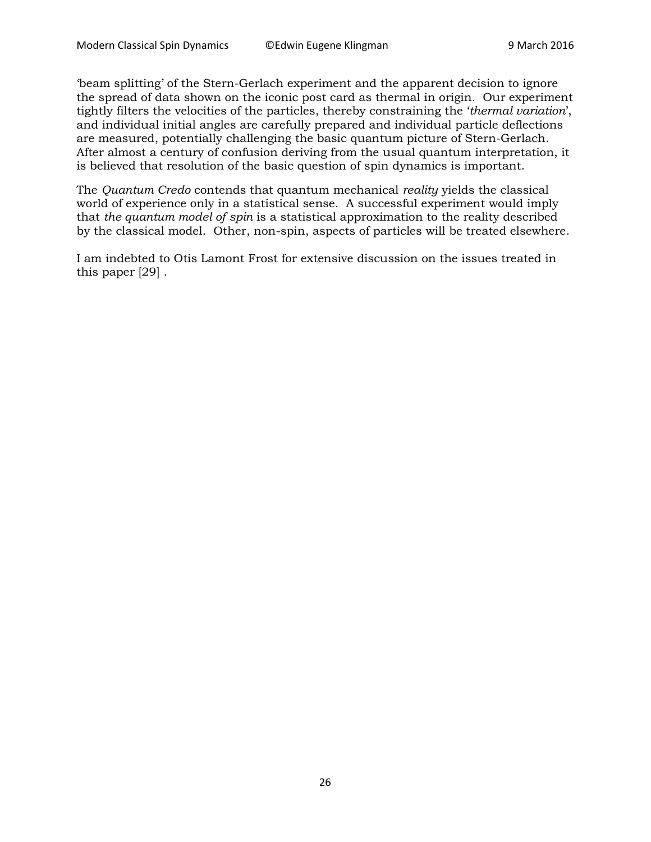'beam splitting' of the Stern-Gerlach experiment and the apparent decision to ignore the spread of data shown on the iconic post card as thermal in origin. Our experiment tightly filters the velocities of the particles, thereby constraining the '*thermal variation*', and individual initial angles are carefully prepared and individual particle deflections are measured, potentially challenging the basic quantum picture of Stern-Gerlach. After almost a century of confusion deriving from the usual quantum interpretation, it is believed that resolution of the basic question of spin dynamics is important.

The *Quantum Credo* contends that quantum mechanical *reality* yields the classical world of experience only in a statistical sense. A successful experiment would imply that *the quantum model of spin* is a statistical approximation to the reality described by the classical model. Other, non-spin, aspects of particles will be treated elsewhere.

I am indebted to Otis Lamont Frost for extensive discussion on the issues treated in this paper [29] .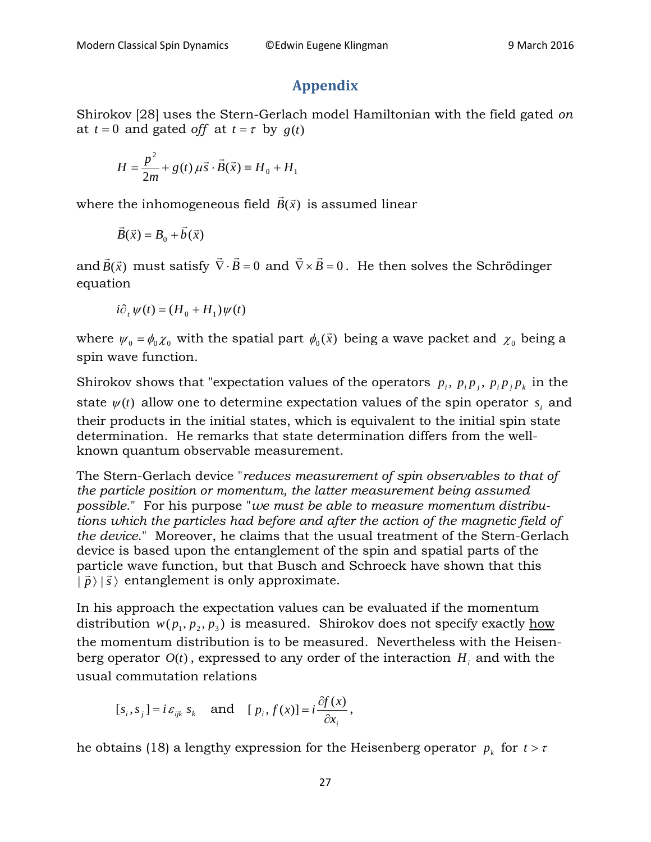## **Appendix**

Shirokov [28] uses the Stern-Gerlach model Hamiltonian with the field gated *on* at  $t = 0$  and gated *off* at  $t = \tau$  by  $g(t)$ 

$$
H = \frac{p^{2}}{2m} + g(t) \mu \vec{s} \cdot \vec{B}(\vec{x}) \equiv H_{0} + H_{1}
$$

where the inhomogeneous field  $\vec{B}(\vec{x})$  is assumed linear

$$
\vec{B}(\vec{x}) = B_0 + \vec{b}(\vec{x})
$$

and  $\vec{B}(\vec{x})$  must satisfy  $\vec{\nabla}\cdot\vec{B}=0$  and  $\vec{\nabla}\times\vec{B}=0$ . He then solves the Schrödinger equation

$$
i\partial_t \psi(t) = (H_0 + H_1)\psi(t)
$$

where  $\psi_0 = \phi_0 \chi_0$  with the spatial part  $\phi_0(\vec{x})$  being a wave packet and  $\chi_0$  being a spin wave function.

Shirokov shows that "expectation values of the operators  $p_i$ ,  $p_i p_j$ ,  $p_j p_k$  in the state  $\psi(t)$  allow one to determine expectation values of the spin operator  $s_i$  and their products in the initial states, which is equivalent to the initial spin state determination. He remarks that state determination differs from the wellknown quantum observable measurement.

The Stern-Gerlach device "*reduces measurement of spin observables to that of the particle position or momentum, the latter measurement being assumed possible*." For his purpose "*we must be able to measure momentum distributions which the particles had before and after the action of the magnetic field of the device*." Moreover, he claims that the usual treatment of the Stern-Gerlach device is based upon the entanglement of the spin and spatial parts of the particle wave function, but that Busch and Schroeck have shown that this  $|\vec{p}\rangle |\vec{s}\rangle$  entanglement is only approximate.

In his approach the expectation values can be evaluated if the momentum distribution  $w(p_1, p_2, p_3)$  is measured. Shirokov does not specify exactly how the momentum distribution is to be measured. Nevertheless with the Heisenberg operator  $O(t)$ , expressed to any order of the interaction  $H_i$  and with the usual commutation relations

$$
[s_i, s_j] = i \varepsilon_{ijk} s_k
$$
 and  $[p_i, f(x)] = i \frac{\partial f(x)}{\partial x_i}$ ,

he obtains (18) a lengthy expression for the Heisenberg operator  $p_k$  for  $t > \tau$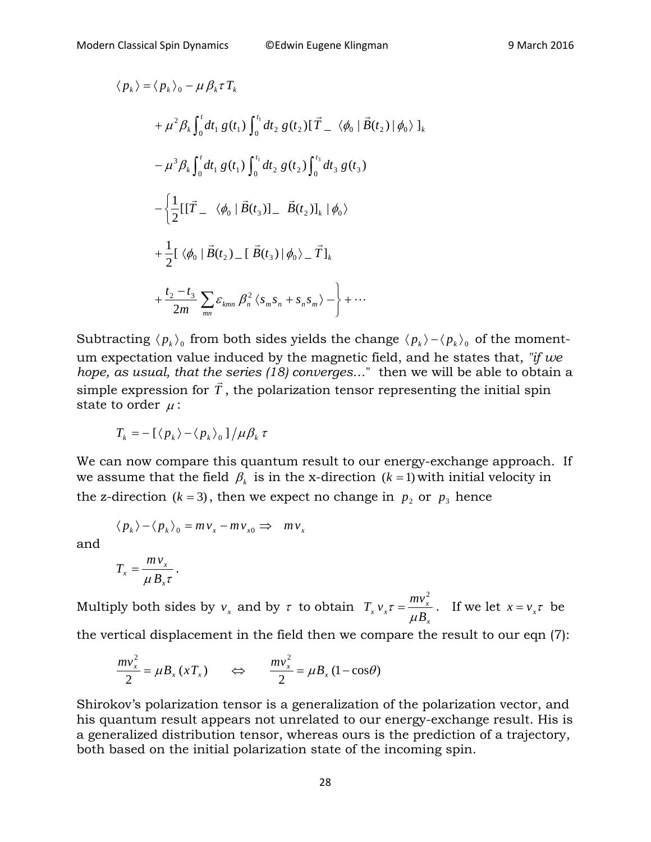$$
\langle p_{k} \rangle = \langle p_{k} \rangle_{0} - \mu \beta_{k} \tau T_{k}
$$
  
+  $\mu^{2} \beta_{k} \int_{0}^{t} dt_{1} g(t_{1}) \int_{0}^{t_{1}} dt_{2} g(t_{2}) [\vec{T}_{-} \langle \phi_{0} | \vec{B}(t_{2}) | \phi_{0} \rangle]_{k}$   
-  $\mu^{3} \beta_{k} \int_{0}^{t} dt_{1} g(t_{1}) \int_{0}^{t_{1}} dt_{2} g(t_{2}) \int_{0}^{t_{3}} dt_{3} g(t_{3})$   
-  $\left\{ \frac{1}{2} [\vec{T}_{-} \langle \phi_{0} | \vec{B}(t_{3})]_{-} \vec{B}(t_{2})]_{k} | \phi_{0} \right\}$   
+  $\frac{1}{2} [\langle \phi_{0} | \vec{B}(t_{2})_{-} [\vec{B}(t_{3}) | \phi_{0} \rangle_{-} \vec{T}]_{k}$   
+  $\frac{t_{2} - t_{3}}{2m} \sum_{mn} \varepsilon_{kmn} \beta_{n}^{2} \langle s_{m} s_{n} + s_{n} s_{m} \rangle - \right\} + \cdots$ 

Subtracting  $\langle p_k \rangle$  from both sides yields the change  $\langle p_k \rangle - \langle p_k \rangle$  of the momentum expectation value induced by the magnetic field, and he states that, *"if we hope, as usual, that the series (18) converges…*" then we will be able to obtain a simple expression for *T* , the polarization tensor representing the initial spin state to order  $\mu$  :

$$
T_k = -\left[\langle p_k \rangle - \langle p_k \rangle_0\right]/\mu \beta_k \tau
$$

We can now compare this quantum result to our energy-exchange approach. If we assume that the field  $\beta_k$  is in the x-direction ( $k = 1$ ) with initial velocity in the z-direction ( $k = 3$ ), then we expect no change in  $p_2$  or  $p_3$  hence

$$
\langle p_k \rangle - \langle p_k \rangle_0 = m v_x - m v_{x0} \implies m v_x
$$

and

$$
T_x = \frac{m v_x}{\mu B_x \tau}.
$$

Multiply both sides by  $v_x$  and by  $\tau$  to obtain *x*  $\int_{x}^{b} v_x \tau = \frac{mv_x}{\mu B_y}$  $T_x v_x \tau = \frac{mv}{r}$  $\mu$ τ 2  $=\frac{mv_x}{vR}$ . If we let  $x = v_x \tau$  be the vertical displacement in the field then we compare the result to our eqn (7):

$$
\frac{mv_x^2}{2} = \mu B_x \left(xT_x\right) \qquad \Leftrightarrow \qquad \frac{mv_x^2}{2} = \mu B_x \left(1 - \cos\theta\right)
$$

Shirokov's polarization tensor is a generalization of the polarization vector, and his quantum result appears not unrelated to our energy-exchange result. His is a generalized distribution tensor, whereas ours is the prediction of a trajectory, both based on the initial polarization state of the incoming spin.